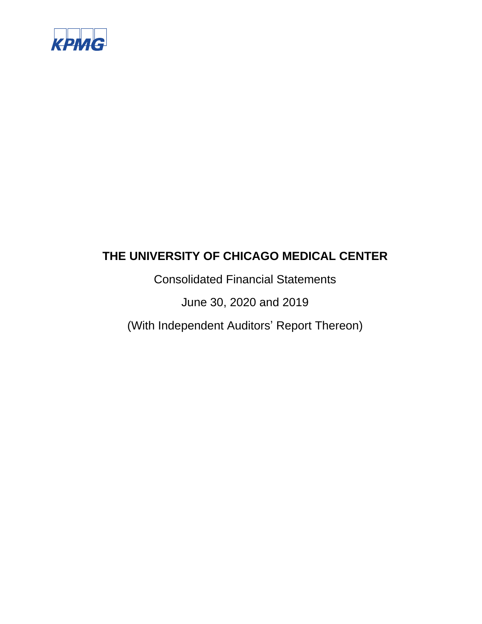

Consolidated Financial Statements

June 30, 2020 and 2019

(With Independent Auditors' Report Thereon)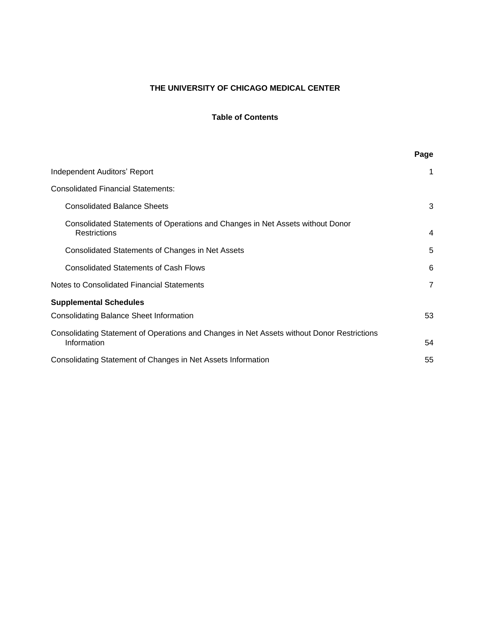### **Table of Contents**

|                                                                                                           | Page           |
|-----------------------------------------------------------------------------------------------------------|----------------|
| Independent Auditors' Report                                                                              | 1              |
| <b>Consolidated Financial Statements:</b>                                                                 |                |
| <b>Consolidated Balance Sheets</b>                                                                        | 3              |
| Consolidated Statements of Operations and Changes in Net Assets without Donor<br><b>Restrictions</b>      | 4              |
| Consolidated Statements of Changes in Net Assets                                                          | 5              |
| <b>Consolidated Statements of Cash Flows</b>                                                              | 6              |
| Notes to Consolidated Financial Statements                                                                | $\overline{7}$ |
| <b>Supplemental Schedules</b>                                                                             |                |
| <b>Consolidating Balance Sheet Information</b>                                                            | 53             |
| Consolidating Statement of Operations and Changes in Net Assets without Donor Restrictions<br>Information | 54             |
| Consolidating Statement of Changes in Net Assets Information                                              | 55             |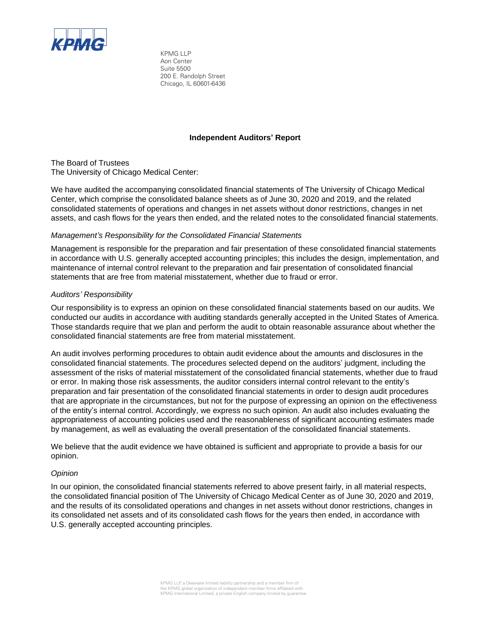

KPMG LLP Aon Center Suite 5500 200 E. Randolph Street Chicago, IL 60601-6436

#### **Independent Auditors' Report**

The Board of Trustees The University of Chicago Medical Center:

We have audited the accompanying consolidated financial statements of The University of Chicago Medical Center, which comprise the consolidated balance sheets as of June 30, 2020 and 2019, and the related consolidated statements of operations and changes in net assets without donor restrictions, changes in net assets, and cash flows for the years then ended, and the related notes to the consolidated financial statements.

#### *Management's Responsibility for the Consolidated Financial Statements*

Management is responsible for the preparation and fair presentation of these consolidated financial statements in accordance with U.S. generally accepted accounting principles; this includes the design, implementation, and maintenance of internal control relevant to the preparation and fair presentation of consolidated financial statements that are free from material misstatement, whether due to fraud or error.

#### *Auditors' Responsibility*

Our responsibility is to express an opinion on these consolidated financial statements based on our audits. We conducted our audits in accordance with auditing standards generally accepted in the United States of America. Those standards require that we plan and perform the audit to obtain reasonable assurance about whether the consolidated financial statements are free from material misstatement.

An audit involves performing procedures to obtain audit evidence about the amounts and disclosures in the consolidated financial statements. The procedures selected depend on the auditors' judgment, including the assessment of the risks of material misstatement of the consolidated financial statements, whether due to fraud or error. In making those risk assessments, the auditor considers internal control relevant to the entity's preparation and fair presentation of the consolidated financial statements in order to design audit procedures that are appropriate in the circumstances, but not for the purpose of expressing an opinion on the effectiveness of the entity's internal control. Accordingly, we express no such opinion. An audit also includes evaluating the appropriateness of accounting policies used and the reasonableness of significant accounting estimates made by management, as well as evaluating the overall presentation of the consolidated financial statements.

We believe that the audit evidence we have obtained is sufficient and appropriate to provide a basis for our opinion.

#### *Opinion*

In our opinion, the consolidated financial statements referred to above present fairly, in all material respects, the consolidated financial position of The University of Chicago Medical Center as of June 30, 2020 and 2019, and the results of its consolidated operations and changes in net assets without donor restrictions, changes in its consolidated net assets and of its consolidated cash flows for the years then ended, in accordance with U.S. generally accepted accounting principles.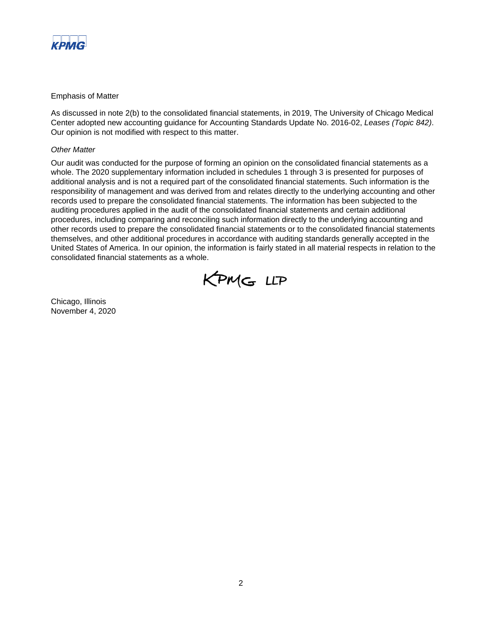

#### Emphasis of Matter

As discussed in note 2(b) to the consolidated financial statements, in 2019, The University of Chicago Medical Center adopted new accounting guidance for Accounting Standards Update No. 2016-02, *Leases (Topic 842)*. Our opinion is not modified with respect to this matter.

#### *Other Matter*

Our audit was conducted for the purpose of forming an opinion on the consolidated financial statements as a whole. The 2020 supplementary information included in schedules 1 through 3 is presented for purposes of additional analysis and is not a required part of the consolidated financial statements. Such information is the responsibility of management and was derived from and relates directly to the underlying accounting and other records used to prepare the consolidated financial statements. The information has been subjected to the auditing procedures applied in the audit of the consolidated financial statements and certain additional procedures, including comparing and reconciling such information directly to the underlying accounting and other records used to prepare the consolidated financial statements or to the consolidated financial statements themselves, and other additional procedures in accordance with auditing standards generally accepted in the United States of America. In our opinion, the information is fairly stated in all material respects in relation to the consolidated financial statements as a whole.



Chicago, Illinois November 4, 2020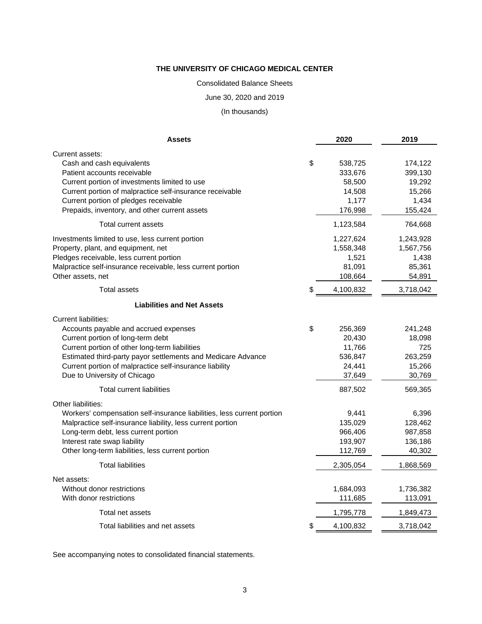#### Consolidated Balance Sheets

#### June 30, 2020 and 2019

# (In thousands)

| <b>Assets</b>                                                          | 2020                     | 2019               |
|------------------------------------------------------------------------|--------------------------|--------------------|
| Current assets:                                                        |                          |                    |
| Cash and cash equivalents<br>Patient accounts receivable               | \$<br>538,725<br>333,676 | 174,122<br>399,130 |
| Current portion of investments limited to use                          | 58,500                   | 19,292             |
| Current portion of malpractice self-insurance receivable               | 14,508                   | 15,266             |
| Current portion of pledges receivable                                  | 1,177                    | 1,434              |
| Prepaids, inventory, and other current assets                          | 176,998                  | 155,424            |
| Total current assets                                                   | 1,123,584                | 764,668            |
| Investments limited to use, less current portion                       | 1,227,624                | 1,243,928          |
| Property, plant, and equipment, net                                    | 1,558,348                | 1,567,756          |
| Pledges receivable, less current portion                               | 1,521                    | 1,438              |
| Malpractice self-insurance receivable, less current portion            | 81,091                   | 85,361             |
| Other assets, net                                                      | 108,664                  | 54,891             |
| <b>Total assets</b>                                                    | \$<br>4,100,832          | 3,718,042          |
| <b>Liabilities and Net Assets</b>                                      |                          |                    |
| <b>Current liabilities:</b>                                            |                          |                    |
| Accounts payable and accrued expenses                                  | \$<br>256,369            | 241,248            |
| Current portion of long-term debt                                      | 20,430                   | 18,098             |
| Current portion of other long-term liabilities                         | 11,766                   | 725                |
| Estimated third-party payor settlements and Medicare Advance           | 536,847                  | 263,259            |
| Current portion of malpractice self-insurance liability                | 24,441                   | 15,266             |
| Due to University of Chicago                                           | 37,649                   | 30,769             |
| <b>Total current liabilities</b>                                       | 887,502                  | 569,365            |
| Other liabilities:                                                     |                          |                    |
| Workers' compensation self-insurance liabilities, less current portion | 9,441                    | 6,396              |
| Malpractice self-insurance liability, less current portion             | 135,029                  | 128,462            |
| Long-term debt, less current portion                                   | 966,406                  | 987,858            |
| Interest rate swap liability                                           | 193,907                  | 136,186            |
| Other long-term liabilities, less current portion                      | 112,769                  | 40,302             |
| <b>Total liabilities</b>                                               | 2,305,054                | 1,868,569          |
| Net assets:                                                            |                          |                    |
| Without donor restrictions                                             | 1,684,093                | 1,736,382          |
| With donor restrictions                                                | 111,685                  | 113,091            |
| Total net assets                                                       | 1,795,778                | 1,849,473          |
| Total liabilities and net assets                                       | \$<br>4,100,832          | 3,718,042          |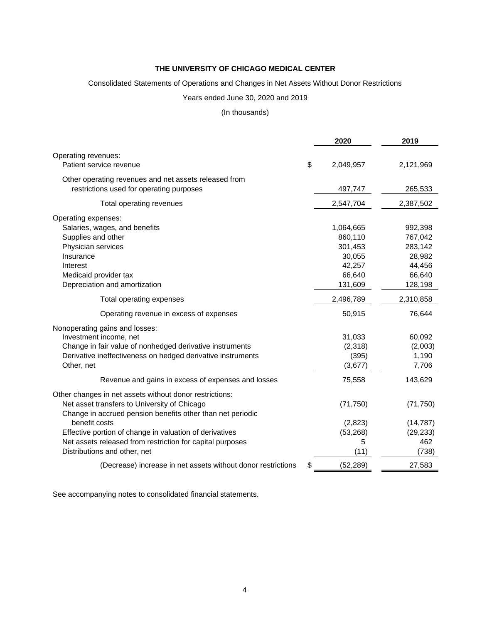#### Consolidated Statements of Operations and Changes in Net Assets Without Donor Restrictions

#### Years ended June 30, 2020 and 2019

#### (In thousands)

|                                                                                                   | 2020            | 2019      |
|---------------------------------------------------------------------------------------------------|-----------------|-----------|
| Operating revenues:                                                                               |                 |           |
| Patient service revenue                                                                           | \$<br>2,049,957 | 2,121,969 |
| Other operating revenues and net assets released from<br>restrictions used for operating purposes | 497,747         | 265,533   |
| Total operating revenues                                                                          | 2,547,704       | 2,387,502 |
| Operating expenses:                                                                               |                 |           |
| Salaries, wages, and benefits                                                                     | 1,064,665       | 992,398   |
| Supplies and other                                                                                | 860,110         | 767,042   |
| Physician services                                                                                | 301,453         | 283,142   |
| Insurance                                                                                         | 30,055          | 28,982    |
| Interest                                                                                          | 42,257          | 44,456    |
| Medicaid provider tax                                                                             | 66,640          | 66,640    |
| Depreciation and amortization                                                                     | 131,609         | 128,198   |
| Total operating expenses                                                                          | 2,496,789       | 2,310,858 |
| Operating revenue in excess of expenses                                                           | 50,915          | 76,644    |
| Nonoperating gains and losses:                                                                    |                 |           |
| Investment income, net                                                                            | 31,033          | 60,092    |
| Change in fair value of nonhedged derivative instruments                                          | (2,318)         | (2,003)   |
| Derivative ineffectiveness on hedged derivative instruments                                       | (395)           | 1,190     |
| Other, net                                                                                        | (3,677)         | 7,706     |
| Revenue and gains in excess of expenses and losses                                                | 75,558          | 143,629   |
| Other changes in net assets without donor restrictions:                                           |                 |           |
| Net asset transfers to University of Chicago                                                      | (71, 750)       | (71, 750) |
| Change in accrued pension benefits other than net periodic                                        |                 |           |
| benefit costs                                                                                     | (2,823)         | (14, 787) |
| Effective portion of change in valuation of derivatives                                           | (53, 268)       | (29, 233) |
| Net assets released from restriction for capital purposes                                         | 5               | 462       |
| Distributions and other, net                                                                      | (11)            | (738)     |
| (Decrease) increase in net assets without donor restrictions                                      | (52, 289)       | 27,583    |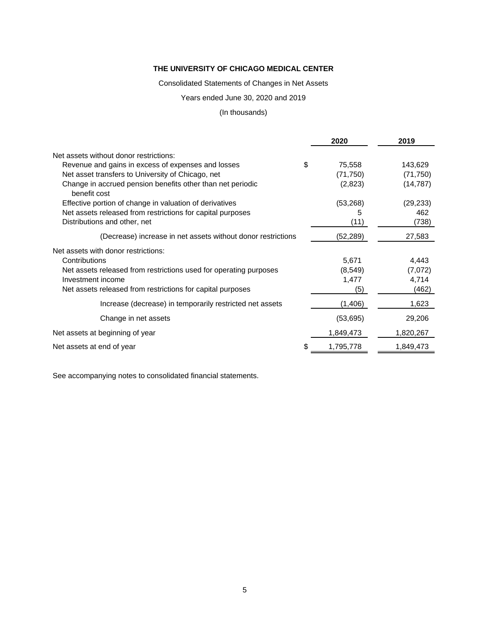Consolidated Statements of Changes in Net Assets

Years ended June 30, 2020 and 2019

## (In thousands)

|                                                                            |    | 2020      | 2019      |
|----------------------------------------------------------------------------|----|-----------|-----------|
| Net assets without donor restrictions:                                     |    |           |           |
| Revenue and gains in excess of expenses and losses                         | \$ | 75,558    | 143,629   |
| Net asset transfers to University of Chicago, net                          |    | (71, 750) | (71, 750) |
| Change in accrued pension benefits other than net periodic<br>benefit cost |    | (2,823)   | (14, 787) |
| Effective portion of change in valuation of derivatives                    |    | (53, 268) | (29, 233) |
| Net assets released from restrictions for capital purposes                 |    | 5         | 462       |
| Distributions and other, net                                               |    | (11)      | (738)     |
| (Decrease) increase in net assets without donor restrictions               |    | (52,289)  | 27,583    |
| Net assets with donor restrictions:                                        |    |           |           |
| Contributions                                                              |    | 5,671     | 4,443     |
| Net assets released from restrictions used for operating purposes          |    | (8, 549)  | (7,072)   |
| Investment income                                                          |    | 1,477     | 4,714     |
| Net assets released from restrictions for capital purposes                 |    | (5)       | (462)     |
| Increase (decrease) in temporarily restricted net assets                   |    | (1,406)   | 1,623     |
| Change in net assets                                                       |    | (53, 695) | 29,206    |
| Net assets at beginning of year                                            |    | 1,849,473 | 1,820,267 |
| Net assets at end of year                                                  | S  | 1,795,778 | 1,849,473 |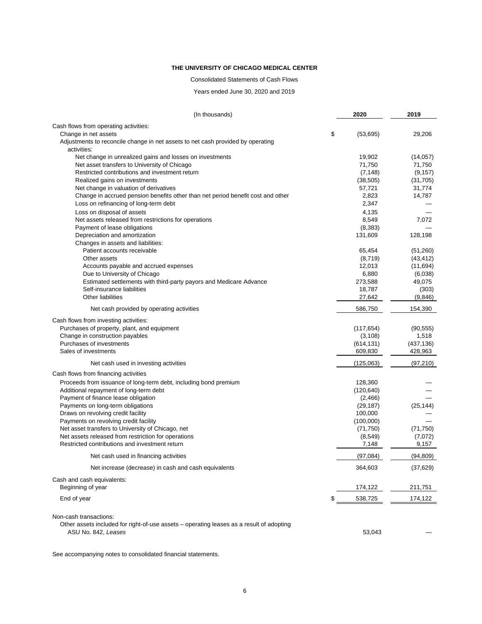#### Consolidated Statements of Cash Flows

Years ended June 30, 2020 and 2019

| (In thousands)                                                                                                     | 2020                 | 2019       |
|--------------------------------------------------------------------------------------------------------------------|----------------------|------------|
| Cash flows from operating activities:                                                                              |                      |            |
| Change in net assets                                                                                               | \$<br>(53,695)       | 29,206     |
| Adjustments to reconcile change in net assets to net cash provided by operating<br>activities:                     |                      |            |
| Net change in unrealized gains and losses on investments                                                           | 19,902               | (14, 057)  |
| Net asset transfers to University of Chicago                                                                       | 71,750               | 71,750     |
| Restricted contributions and investment return                                                                     | (7, 148)             | (9, 157)   |
| Realized gains on investments                                                                                      | (38, 505)            | (31, 705)  |
| Net change in valuation of derivatives                                                                             | 57,721               | 31,774     |
| Change in accrued pension benefits other than net period benefit cost and other                                    | 2,823                | 14,787     |
| Loss on refinancing of long-term debt                                                                              | 2,347                |            |
| Loss on disposal of assets                                                                                         | 4,135                |            |
| Net assets released from restrictions for operations                                                               | 8,549                | 7,072      |
| Payment of lease obligations                                                                                       | (8,383)              |            |
| Depreciation and amortization<br>Changes in assets and liabilities:                                                | 131,609              | 128,198    |
| Patient accounts receivable                                                                                        | 65,454               | (51,260)   |
| Other assets                                                                                                       | (8,719)              | (43, 412)  |
| Accounts payable and accrued expenses                                                                              | 12,013               | (11, 694)  |
| Due to University of Chicago                                                                                       | 6,880                | (6,038)    |
| Estimated settlements with third-party payors and Medicare Advance                                                 | 273,588              | 49,075     |
| Self-insurance liabilities                                                                                         | 18,787               | (303)      |
| Other liabilities                                                                                                  | 27,642               | (9,846)    |
| Net cash provided by operating activities                                                                          | 586,750              | 154,390    |
| Cash flows from investing activities:                                                                              |                      |            |
| Purchases of property, plant, and equipment                                                                        | (117, 654)           | (90, 555)  |
| Change in construction payables                                                                                    | (3, 108)             | 1,518      |
| Purchases of investments                                                                                           | (614, 131)           | (437, 136) |
| Sales of investments                                                                                               | 609,830              | 428,963    |
| Net cash used in investing activities                                                                              | (125,063)            | (97, 210)  |
| Cash flows from financing activities                                                                               |                      |            |
| Proceeds from issuance of long-term debt, including bond premium                                                   | 128,360              |            |
| Additional repayment of long-term debt                                                                             | (120, 640)           |            |
| Payment of finance lease obligation                                                                                | (2,466)              |            |
| Payments on long-term obligations                                                                                  | (29, 187)            | (25, 144)  |
| Draws on revolving credit facility<br>Payments on revolving credit facility                                        | 100,000<br>(100,000) |            |
| Net asset transfers to University of Chicago, net                                                                  | (71, 750)            | (71, 750)  |
| Net assets released from restriction for operations                                                                | (8, 549)             | (7,072)    |
| Restricted contributions and investment return                                                                     | 7,148                | 9,157      |
| Net cash used in financing activities                                                                              | (97,084)             | (94, 809)  |
| Net increase (decrease) in cash and cash equivalents                                                               | 364,603              | (37, 629)  |
| Cash and cash equivalents:                                                                                         |                      |            |
| Beginning of year                                                                                                  | 174,122              | 211,751    |
| End of year                                                                                                        | \$<br>538,725        | 174,122    |
| Non-cash transactions:<br>Other assets included for right-of-use assets – operating leases as a result of adopting |                      |            |
| ASU No. 842, Leases                                                                                                | 53,043               |            |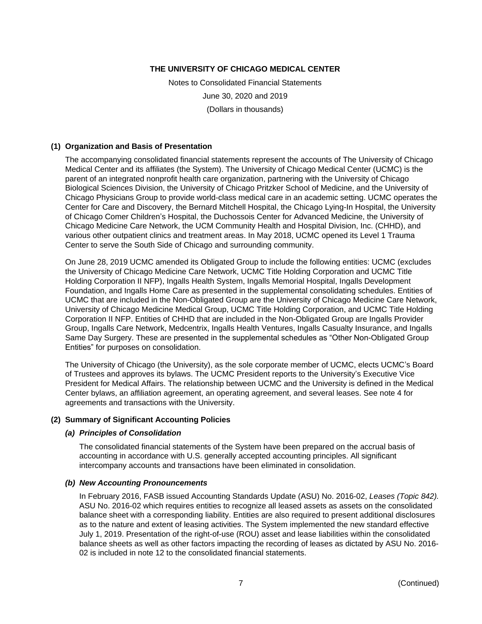Notes to Consolidated Financial Statements June 30, 2020 and 2019 (Dollars in thousands)

#### **(1) Organization and Basis of Presentation**

The accompanying consolidated financial statements represent the accounts of The University of Chicago Medical Center and its affiliates (the System). The University of Chicago Medical Center (UCMC) is the parent of an integrated nonprofit health care organization, partnering with the University of Chicago Biological Sciences Division, the University of Chicago Pritzker School of Medicine, and the University of Chicago Physicians Group to provide world-class medical care in an academic setting. UCMC operates the Center for Care and Discovery, the Bernard Mitchell Hospital, the Chicago Lying-In Hospital, the University of Chicago Comer Children's Hospital, the Duchossois Center for Advanced Medicine, the University of Chicago Medicine Care Network, the UCM Community Health and Hospital Division, Inc. (CHHD), and various other outpatient clinics and treatment areas. In May 2018, UCMC opened its Level 1 Trauma Center to serve the South Side of Chicago and surrounding community.

On June 28, 2019 UCMC amended its Obligated Group to include the following entities: UCMC (excludes the University of Chicago Medicine Care Network, UCMC Title Holding Corporation and UCMC Title Holding Corporation II NFP), Ingalls Health System, Ingalls Memorial Hospital, Ingalls Development Foundation, and Ingalls Home Care as presented in the supplemental consolidating schedules. Entities of UCMC that are included in the Non-Obligated Group are the University of Chicago Medicine Care Network, University of Chicago Medicine Medical Group, UCMC Title Holding Corporation, and UCMC Title Holding Corporation II NFP. Entities of CHHD that are included in the Non-Obligated Group are Ingalls Provider Group, Ingalls Care Network, Medcentrix, Ingalls Health Ventures, Ingalls Casualty Insurance, and Ingalls Same Day Surgery. These are presented in the supplemental schedules as "Other Non-Obligated Group Entities" for purposes on consolidation.

The University of Chicago (the University), as the sole corporate member of UCMC, elects UCMC's Board of Trustees and approves its bylaws. The UCMC President reports to the University's Executive Vice President for Medical Affairs. The relationship between UCMC and the University is defined in the Medical Center bylaws, an affiliation agreement, an operating agreement, and several leases. See note 4 for agreements and transactions with the University.

#### **(2) Summary of Significant Accounting Policies**

#### *(a) Principles of Consolidation*

The consolidated financial statements of the System have been prepared on the accrual basis of accounting in accordance with U.S. generally accepted accounting principles. All significant intercompany accounts and transactions have been eliminated in consolidation.

#### *(b) New Accounting Pronouncements*

In February 2016, FASB issued Accounting Standards Update (ASU) No. 2016-02, *Leases (Topic 842).*  ASU No. 2016-02 which requires entities to recognize all leased assets as assets on the consolidated balance sheet with a corresponding liability. Entities are also required to present additional disclosures as to the nature and extent of leasing activities. The System implemented the new standard effective July 1, 2019. Presentation of the right-of-use (ROU) asset and lease liabilities within the consolidated balance sheets as well as other factors impacting the recording of leases as dictated by ASU No. 2016- 02 is included in note 12 to the consolidated financial statements.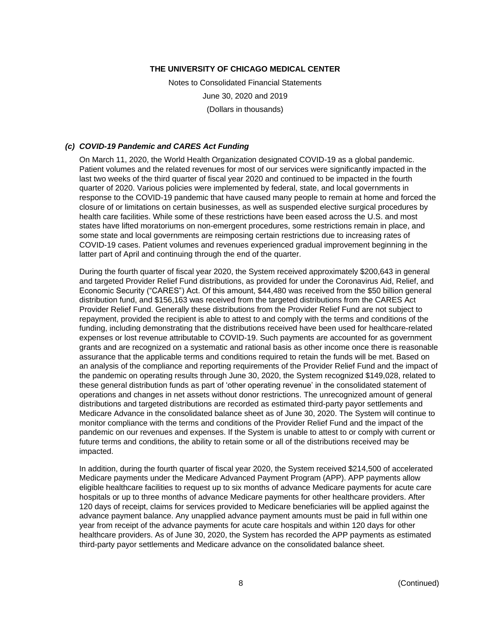Notes to Consolidated Financial Statements June 30, 2020 and 2019 (Dollars in thousands)

#### *(c) COVID-19 Pandemic and CARES Act Funding*

On March 11, 2020, the World Health Organization designated COVID-19 as a global pandemic. Patient volumes and the related revenues for most of our services were significantly impacted in the last two weeks of the third quarter of fiscal year 2020 and continued to be impacted in the fourth quarter of 2020. Various policies were implemented by federal, state, and local governments in response to the COVID-19 pandemic that have caused many people to remain at home and forced the closure of or limitations on certain businesses, as well as suspended elective surgical procedures by health care facilities. While some of these restrictions have been eased across the U.S. and most states have lifted moratoriums on non-emergent procedures, some restrictions remain in place, and some state and local governments are reimposing certain restrictions due to increasing rates of COVID-19 cases. Patient volumes and revenues experienced gradual improvement beginning in the latter part of April and continuing through the end of the quarter.

During the fourth quarter of fiscal year 2020, the System received approximately \$200,643 in general and targeted Provider Relief Fund distributions, as provided for under the Coronavirus Aid, Relief, and Economic Security ("CARES") Act. Of this amount, \$44,480 was received from the \$50 billion general distribution fund, and \$156,163 was received from the targeted distributions from the CARES Act Provider Relief Fund. Generally these distributions from the Provider Relief Fund are not subject to repayment, provided the recipient is able to attest to and comply with the terms and conditions of the funding, including demonstrating that the distributions received have been used for healthcare-related expenses or lost revenue attributable to COVID-19. Such payments are accounted for as government grants and are recognized on a systematic and rational basis as other income once there is reasonable assurance that the applicable terms and conditions required to retain the funds will be met. Based on an analysis of the compliance and reporting requirements of the Provider Relief Fund and the impact of the pandemic on operating results through June 30, 2020, the System recognized \$149,028, related to these general distribution funds as part of 'other operating revenue' in the consolidated statement of operations and changes in net assets without donor restrictions. The unrecognized amount of general distributions and targeted distributions are recorded as estimated third-party payor settlements and Medicare Advance in the consolidated balance sheet as of June 30, 2020. The System will continue to monitor compliance with the terms and conditions of the Provider Relief Fund and the impact of the pandemic on our revenues and expenses. If the System is unable to attest to or comply with current or future terms and conditions, the ability to retain some or all of the distributions received may be impacted.

In addition, during the fourth quarter of fiscal year 2020, the System received \$214,500 of accelerated Medicare payments under the Medicare Advanced Payment Program (APP). APP payments allow eligible healthcare facilities to request up to six months of advance Medicare payments for acute care hospitals or up to three months of advance Medicare payments for other healthcare providers. After 120 days of receipt, claims for services provided to Medicare beneficiaries will be applied against the advance payment balance. Any unapplied advance payment amounts must be paid in full within one year from receipt of the advance payments for acute care hospitals and within 120 days for other healthcare providers. As of June 30, 2020, the System has recorded the APP payments as estimated third-party payor settlements and Medicare advance on the consolidated balance sheet.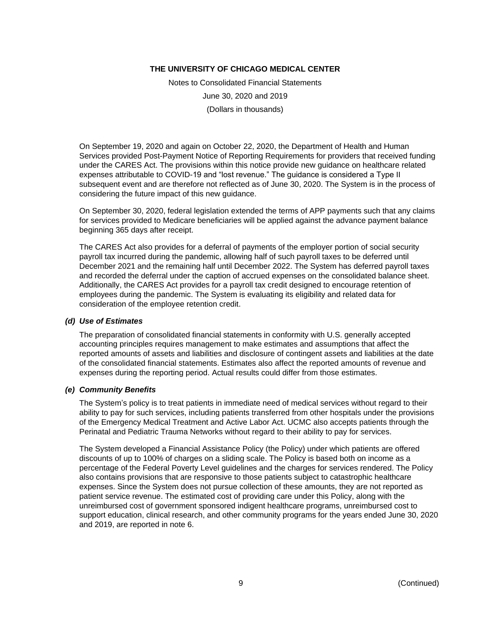Notes to Consolidated Financial Statements June 30, 2020 and 2019 (Dollars in thousands)

On September 19, 2020 and again on October 22, 2020, the Department of Health and Human Services provided Post-Payment Notice of Reporting Requirements for providers that received funding under the CARES Act. The provisions within this notice provide new guidance on healthcare related expenses attributable to COVID-19 and "lost revenue." The guidance is considered a Type II subsequent event and are therefore not reflected as of June 30, 2020. The System is in the process of considering the future impact of this new guidance.

On September 30, 2020, federal legislation extended the terms of APP payments such that any claims for services provided to Medicare beneficiaries will be applied against the advance payment balance beginning 365 days after receipt.

The CARES Act also provides for a deferral of payments of the employer portion of social security payroll tax incurred during the pandemic, allowing half of such payroll taxes to be deferred until December 2021 and the remaining half until December 2022. The System has deferred payroll taxes and recorded the deferral under the caption of accrued expenses on the consolidated balance sheet. Additionally, the CARES Act provides for a payroll tax credit designed to encourage retention of employees during the pandemic. The System is evaluating its eligibility and related data for consideration of the employee retention credit.

#### *(d) Use of Estimates*

The preparation of consolidated financial statements in conformity with U.S. generally accepted accounting principles requires management to make estimates and assumptions that affect the reported amounts of assets and liabilities and disclosure of contingent assets and liabilities at the date of the consolidated financial statements. Estimates also affect the reported amounts of revenue and expenses during the reporting period. Actual results could differ from those estimates.

#### *(e) Community Benefits*

The System's policy is to treat patients in immediate need of medical services without regard to their ability to pay for such services, including patients transferred from other hospitals under the provisions of the Emergency Medical Treatment and Active Labor Act. UCMC also accepts patients through the Perinatal and Pediatric Trauma Networks without regard to their ability to pay for services.

The System developed a Financial Assistance Policy (the Policy) under which patients are offered discounts of up to 100% of charges on a sliding scale. The Policy is based both on income as a percentage of the Federal Poverty Level guidelines and the charges for services rendered. The Policy also contains provisions that are responsive to those patients subject to catastrophic healthcare expenses. Since the System does not pursue collection of these amounts, they are not reported as patient service revenue. The estimated cost of providing care under this Policy, along with the unreimbursed cost of government sponsored indigent healthcare programs, unreimbursed cost to support education, clinical research, and other community programs for the years ended June 30, 2020 and 2019, are reported in note 6.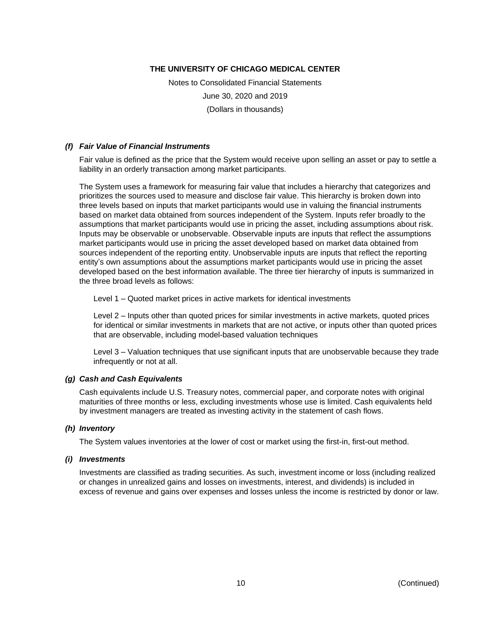Notes to Consolidated Financial Statements June 30, 2020 and 2019 (Dollars in thousands)

#### *(f) Fair Value of Financial Instruments*

Fair value is defined as the price that the System would receive upon selling an asset or pay to settle a liability in an orderly transaction among market participants.

The System uses a framework for measuring fair value that includes a hierarchy that categorizes and prioritizes the sources used to measure and disclose fair value. This hierarchy is broken down into three levels based on inputs that market participants would use in valuing the financial instruments based on market data obtained from sources independent of the System. Inputs refer broadly to the assumptions that market participants would use in pricing the asset, including assumptions about risk. Inputs may be observable or unobservable. Observable inputs are inputs that reflect the assumptions market participants would use in pricing the asset developed based on market data obtained from sources independent of the reporting entity. Unobservable inputs are inputs that reflect the reporting entity's own assumptions about the assumptions market participants would use in pricing the asset developed based on the best information available. The three tier hierarchy of inputs is summarized in the three broad levels as follows:

Level 1 – Quoted market prices in active markets for identical investments

Level 2 – Inputs other than quoted prices for similar investments in active markets, quoted prices for identical or similar investments in markets that are not active, or inputs other than quoted prices that are observable, including model-based valuation techniques

Level 3 – Valuation techniques that use significant inputs that are unobservable because they trade infrequently or not at all.

#### *(g) Cash and Cash Equivalents*

Cash equivalents include U.S. Treasury notes, commercial paper, and corporate notes with original maturities of three months or less, excluding investments whose use is limited. Cash equivalents held by investment managers are treated as investing activity in the statement of cash flows.

#### *(h) Inventory*

The System values inventories at the lower of cost or market using the first-in, first-out method.

#### *(i) Investments*

Investments are classified as trading securities. As such, investment income or loss (including realized or changes in unrealized gains and losses on investments, interest, and dividends) is included in excess of revenue and gains over expenses and losses unless the income is restricted by donor or law.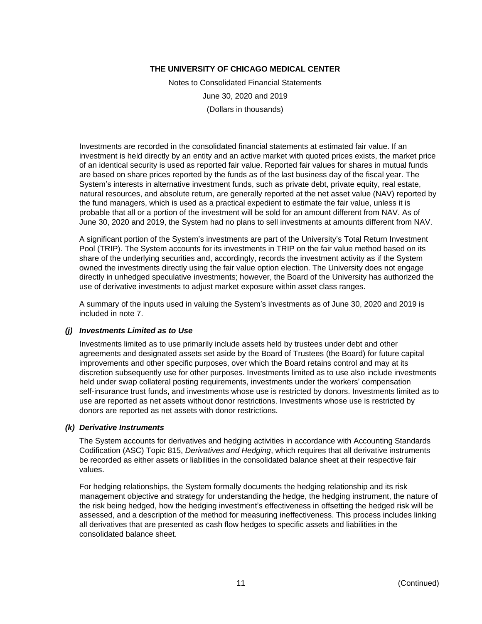Notes to Consolidated Financial Statements June 30, 2020 and 2019 (Dollars in thousands)

Investments are recorded in the consolidated financial statements at estimated fair value. If an investment is held directly by an entity and an active market with quoted prices exists, the market price of an identical security is used as reported fair value. Reported fair values for shares in mutual funds are based on share prices reported by the funds as of the last business day of the fiscal year. The System's interests in alternative investment funds, such as private debt, private equity, real estate, natural resources, and absolute return, are generally reported at the net asset value (NAV) reported by the fund managers, which is used as a practical expedient to estimate the fair value, unless it is probable that all or a portion of the investment will be sold for an amount different from NAV. As of June 30, 2020 and 2019, the System had no plans to sell investments at amounts different from NAV.

A significant portion of the System's investments are part of the University's Total Return Investment Pool (TRIP). The System accounts for its investments in TRIP on the fair value method based on its share of the underlying securities and, accordingly, records the investment activity as if the System owned the investments directly using the fair value option election. The University does not engage directly in unhedged speculative investments; however, the Board of the University has authorized the use of derivative investments to adjust market exposure within asset class ranges.

A summary of the inputs used in valuing the System's investments as of June 30, 2020 and 2019 is included in note 7.

#### *(j) Investments Limited as to Use*

Investments limited as to use primarily include assets held by trustees under debt and other agreements and designated assets set aside by the Board of Trustees (the Board) for future capital improvements and other specific purposes, over which the Board retains control and may at its discretion subsequently use for other purposes. Investments limited as to use also include investments held under swap collateral posting requirements, investments under the workers' compensation self-insurance trust funds, and investments whose use is restricted by donors. Investments limited as to use are reported as net assets without donor restrictions. Investments whose use is restricted by donors are reported as net assets with donor restrictions.

#### *(k) Derivative Instruments*

The System accounts for derivatives and hedging activities in accordance with Accounting Standards Codification (ASC) Topic 815, *Derivatives and Hedging*, which requires that all derivative instruments be recorded as either assets or liabilities in the consolidated balance sheet at their respective fair values.

For hedging relationships, the System formally documents the hedging relationship and its risk management objective and strategy for understanding the hedge, the hedging instrument, the nature of the risk being hedged, how the hedging investment's effectiveness in offsetting the hedged risk will be assessed, and a description of the method for measuring ineffectiveness. This process includes linking all derivatives that are presented as cash flow hedges to specific assets and liabilities in the consolidated balance sheet.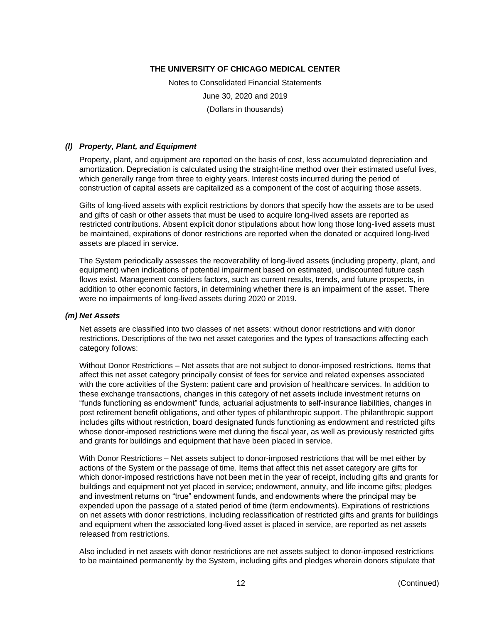Notes to Consolidated Financial Statements June 30, 2020 and 2019 (Dollars in thousands)

#### *(l) Property, Plant, and Equipment*

Property, plant, and equipment are reported on the basis of cost, less accumulated depreciation and amortization. Depreciation is calculated using the straight-line method over their estimated useful lives, which generally range from three to eighty years. Interest costs incurred during the period of construction of capital assets are capitalized as a component of the cost of acquiring those assets.

Gifts of long-lived assets with explicit restrictions by donors that specify how the assets are to be used and gifts of cash or other assets that must be used to acquire long-lived assets are reported as restricted contributions. Absent explicit donor stipulations about how long those long-lived assets must be maintained, expirations of donor restrictions are reported when the donated or acquired long-lived assets are placed in service.

The System periodically assesses the recoverability of long-lived assets (including property, plant, and equipment) when indications of potential impairment based on estimated, undiscounted future cash flows exist. Management considers factors, such as current results, trends, and future prospects, in addition to other economic factors, in determining whether there is an impairment of the asset. There were no impairments of long-lived assets during 2020 or 2019.

#### *(m) Net Assets*

Net assets are classified into two classes of net assets: without donor restrictions and with donor restrictions. Descriptions of the two net asset categories and the types of transactions affecting each category follows:

Without Donor Restrictions – Net assets that are not subject to donor-imposed restrictions. Items that affect this net asset category principally consist of fees for service and related expenses associated with the core activities of the System: patient care and provision of healthcare services. In addition to these exchange transactions, changes in this category of net assets include investment returns on "funds functioning as endowment" funds, actuarial adjustments to self-insurance liabilities, changes in post retirement benefit obligations, and other types of philanthropic support. The philanthropic support includes gifts without restriction, board designated funds functioning as endowment and restricted gifts whose donor-imposed restrictions were met during the fiscal year, as well as previously restricted gifts and grants for buildings and equipment that have been placed in service.

With Donor Restrictions – Net assets subject to donor-imposed restrictions that will be met either by actions of the System or the passage of time. Items that affect this net asset category are gifts for which donor-imposed restrictions have not been met in the year of receipt, including gifts and grants for buildings and equipment not yet placed in service; endowment, annuity, and life income gifts; pledges and investment returns on "true" endowment funds, and endowments where the principal may be expended upon the passage of a stated period of time (term endowments). Expirations of restrictions on net assets with donor restrictions, including reclassification of restricted gifts and grants for buildings and equipment when the associated long-lived asset is placed in service, are reported as net assets released from restrictions.

Also included in net assets with donor restrictions are net assets subject to donor-imposed restrictions to be maintained permanently by the System, including gifts and pledges wherein donors stipulate that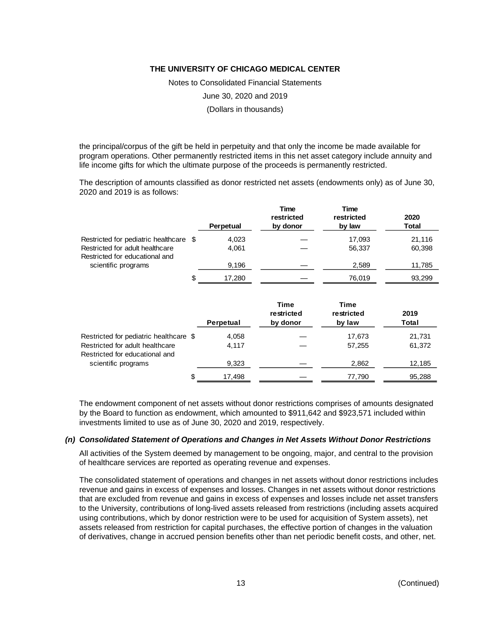Notes to Consolidated Financial Statements

June 30, 2020 and 2019

(Dollars in thousands)

the principal/corpus of the gift be held in perpetuity and that only the income be made available for program operations. Other permanently restricted items in this net asset category include annuity and life income gifts for which the ultimate purpose of the proceeds is permanently restricted.

The description of amounts classified as donor restricted net assets (endowments only) as of June 30, 2020 and 2019 is as follows:

|                                                                                                             |   | Perpetual      | Time<br>restricted<br>by donor | Time<br>restricted<br>by law | 2020<br>Total    |
|-------------------------------------------------------------------------------------------------------------|---|----------------|--------------------------------|------------------------------|------------------|
| Restricted for pediatric healthcare \$<br>Restricted for adult healthcare<br>Restricted for educational and |   | 4,023<br>4.061 |                                | 17.093<br>56,337             | 21,116<br>60,398 |
| scientific programs                                                                                         |   | 9.196          |                                | 2,589                        | 11,785           |
|                                                                                                             | S | 17.280         |                                | 76,019                       | 93,299           |

|                                                                           |   | Perpetual      | <b>Time</b><br>restricted<br>by donor | Time<br>restricted<br>by law | 2019<br>Total    |
|---------------------------------------------------------------------------|---|----------------|---------------------------------------|------------------------------|------------------|
| Restricted for pediatric healthcare \$<br>Restricted for adult healthcare |   | 4,058<br>4.117 |                                       | 17,673<br>57,255             | 21,731<br>61,372 |
| Restricted for educational and<br>scientific programs                     |   | 9,323          |                                       | 2,862                        | 12,185           |
|                                                                           | S | 17,498         |                                       | 77,790                       | 95,288           |

The endowment component of net assets without donor restrictions comprises of amounts designated by the Board to function as endowment, which amounted to \$911,642 and \$923,571 included within investments limited to use as of June 30, 2020 and 2019, respectively.

#### *(n) Consolidated Statement of Operations and Changes in Net Assets Without Donor Restrictions*

All activities of the System deemed by management to be ongoing, major, and central to the provision of healthcare services are reported as operating revenue and expenses.

The consolidated statement of operations and changes in net assets without donor restrictions includes revenue and gains in excess of expenses and losses. Changes in net assets without donor restrictions that are excluded from revenue and gains in excess of expenses and losses include net asset transfers to the University, contributions of long-lived assets released from restrictions (including assets acquired using contributions, which by donor restriction were to be used for acquisition of System assets), net assets released from restriction for capital purchases, the effective portion of changes in the valuation of derivatives, change in accrued pension benefits other than net periodic benefit costs, and other, net.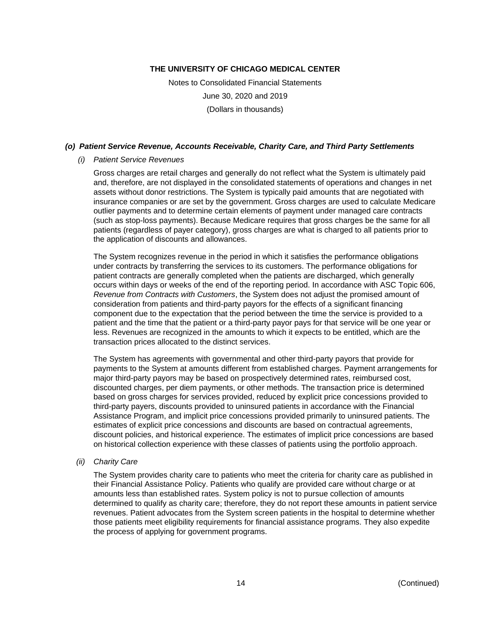Notes to Consolidated Financial Statements June 30, 2020 and 2019 (Dollars in thousands)

#### *(o) Patient Service Revenue, Accounts Receivable, Charity Care, and Third Party Settlements*

#### *(i) Patient Service Revenues*

Gross charges are retail charges and generally do not reflect what the System is ultimately paid and, therefore, are not displayed in the consolidated statements of operations and changes in net assets without donor restrictions. The System is typically paid amounts that are negotiated with insurance companies or are set by the government. Gross charges are used to calculate Medicare outlier payments and to determine certain elements of payment under managed care contracts (such as stop-loss payments). Because Medicare requires that gross charges be the same for all patients (regardless of payer category), gross charges are what is charged to all patients prior to the application of discounts and allowances.

The System recognizes revenue in the period in which it satisfies the performance obligations under contracts by transferring the services to its customers. The performance obligations for patient contracts are generally completed when the patients are discharged, which generally occurs within days or weeks of the end of the reporting period. In accordance with ASC Topic 606, *Revenue from Contracts with Customers*, the System does not adjust the promised amount of consideration from patients and third-party payors for the effects of a significant financing component due to the expectation that the period between the time the service is provided to a patient and the time that the patient or a third-party payor pays for that service will be one year or less. Revenues are recognized in the amounts to which it expects to be entitled, which are the transaction prices allocated to the distinct services.

The System has agreements with governmental and other third-party payors that provide for payments to the System at amounts different from established charges. Payment arrangements for major third-party payors may be based on prospectively determined rates, reimbursed cost, discounted charges, per diem payments, or other methods. The transaction price is determined based on gross charges for services provided, reduced by explicit price concessions provided to third-party payers, discounts provided to uninsured patients in accordance with the Financial Assistance Program, and implicit price concessions provided primarily to uninsured patients. The estimates of explicit price concessions and discounts are based on contractual agreements, discount policies, and historical experience. The estimates of implicit price concessions are based on historical collection experience with these classes of patients using the portfolio approach.

#### *(ii) Charity Care*

The System provides charity care to patients who meet the criteria for charity care as published in their Financial Assistance Policy. Patients who qualify are provided care without charge or at amounts less than established rates. System policy is not to pursue collection of amounts determined to qualify as charity care; therefore, they do not report these amounts in patient service revenues. Patient advocates from the System screen patients in the hospital to determine whether those patients meet eligibility requirements for financial assistance programs. They also expedite the process of applying for government programs.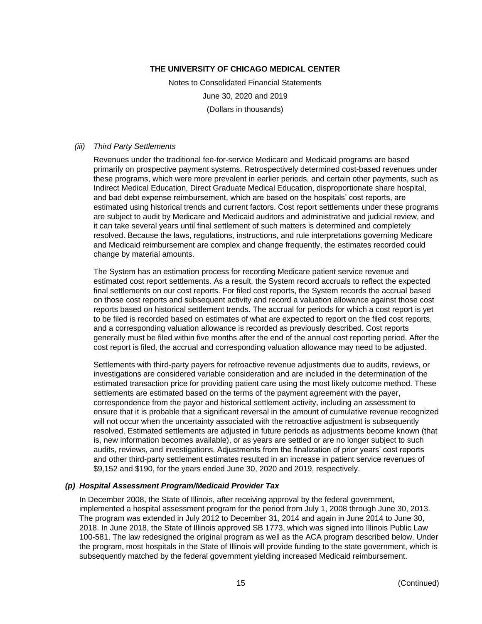Notes to Consolidated Financial Statements June 30, 2020 and 2019 (Dollars in thousands)

#### *(iii) Third Party Settlements*

Revenues under the traditional fee-for-service Medicare and Medicaid programs are based primarily on prospective payment systems. Retrospectively determined cost-based revenues under these programs, which were more prevalent in earlier periods, and certain other payments, such as Indirect Medical Education, Direct Graduate Medical Education, disproportionate share hospital, and bad debt expense reimbursement, which are based on the hospitals' cost reports, are estimated using historical trends and current factors. Cost report settlements under these programs are subject to audit by Medicare and Medicaid auditors and administrative and judicial review, and it can take several years until final settlement of such matters is determined and completely resolved. Because the laws, regulations, instructions, and rule interpretations governing Medicare and Medicaid reimbursement are complex and change frequently, the estimates recorded could change by material amounts.

The System has an estimation process for recording Medicare patient service revenue and estimated cost report settlements. As a result, the System record accruals to reflect the expected final settlements on our cost reports. For filed cost reports, the System records the accrual based on those cost reports and subsequent activity and record a valuation allowance against those cost reports based on historical settlement trends. The accrual for periods for which a cost report is yet to be filed is recorded based on estimates of what are expected to report on the filed cost reports, and a corresponding valuation allowance is recorded as previously described. Cost reports generally must be filed within five months after the end of the annual cost reporting period. After the cost report is filed, the accrual and corresponding valuation allowance may need to be adjusted.

Settlements with third-party payers for retroactive revenue adjustments due to audits, reviews, or investigations are considered variable consideration and are included in the determination of the estimated transaction price for providing patient care using the most likely outcome method. These settlements are estimated based on the terms of the payment agreement with the payer, correspondence from the payor and historical settlement activity, including an assessment to ensure that it is probable that a significant reversal in the amount of cumulative revenue recognized will not occur when the uncertainty associated with the retroactive adjustment is subsequently resolved. Estimated settlements are adjusted in future periods as adjustments become known (that is, new information becomes available), or as years are settled or are no longer subject to such audits, reviews, and investigations. Adjustments from the finalization of prior years' cost reports and other third-party settlement estimates resulted in an increase in patient service revenues of \$9,152 and \$190, for the years ended June 30, 2020 and 2019, respectively.

#### *(p) Hospital Assessment Program/Medicaid Provider Tax*

In December 2008, the State of Illinois, after receiving approval by the federal government, implemented a hospital assessment program for the period from July 1, 2008 through June 30, 2013. The program was extended in July 2012 to December 31, 2014 and again in June 2014 to June 30, 2018. In June 2018, the State of Illinois approved SB 1773, which was signed into Illinois Public Law 100-581. The law redesigned the original program as well as the ACA program described below. Under the program, most hospitals in the State of Illinois will provide funding to the state government, which is subsequently matched by the federal government yielding increased Medicaid reimbursement.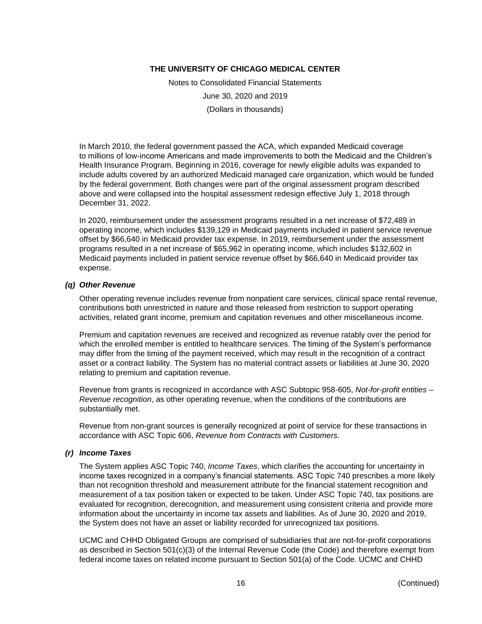Notes to Consolidated Financial Statements June 30, 2020 and 2019 (Dollars in thousands)

In March 2010, the federal government passed the ACA, which expanded Medicaid coverage to millions of low-income Americans and made improvements to both the Medicaid and the Children's Health Insurance Program. Beginning in 2016, coverage for newly eligible adults was expanded to include adults covered by an authorized Medicaid managed care organization, which would be funded by the federal government. Both changes were part of the original assessment program described above and were collapsed into the hospital assessment redesign effective July 1, 2018 through December 31, 2022.

In 2020, reimbursement under the assessment programs resulted in a net increase of \$72,489 in operating income, which includes \$139,129 in Medicaid payments included in patient service revenue offset by \$66,640 in Medicaid provider tax expense. In 2019, reimbursement under the assessment programs resulted in a net increase of \$65,962 in operating income, which includes \$132,602 in Medicaid payments included in patient service revenue offset by \$66,640 in Medicaid provider tax expense.

#### *(q) Other Revenue*

Other operating revenue includes revenue from nonpatient care services, clinical space rental revenue, contributions both unrestricted in nature and those released from restriction to support operating activities, related grant income, premium and capitation revenues and other miscellaneous income.

Premium and capitation revenues are received and recognized as revenue ratably over the period for which the enrolled member is entitled to healthcare services. The timing of the System's performance may differ from the timing of the payment received, which may result in the recognition of a contract asset or a contract liability. The System has no material contract assets or liabilities at June 30, 2020 relating to premium and capitation revenue.

Revenue from grants is recognized in accordance with ASC Subtopic 958-605, *Not-for-profit entities – Revenue recognition*, as other operating revenue, when the conditions of the contributions are substantially met.

Revenue from non-grant sources is generally recognized at point of service for these transactions in accordance with ASC Topic 606, *Revenue from Contracts with Customers*.

#### *(r) Income Taxes*

The System applies ASC Topic 740, *Income Taxes*, which clarifies the accounting for uncertainty in income taxes recognized in a company's financial statements. ASC Topic 740 prescribes a more likely than not recognition threshold and measurement attribute for the financial statement recognition and measurement of a tax position taken or expected to be taken. Under ASC Topic 740, tax positions are evaluated for recognition, derecognition, and measurement using consistent criteria and provide more information about the uncertainty in income tax assets and liabilities. As of June 30, 2020 and 2019, the System does not have an asset or liability recorded for unrecognized tax positions.

UCMC and CHHD Obligated Groups are comprised of subsidiaries that are not-for-profit corporations as described in Section 501(c)(3) of the Internal Revenue Code (the Code) and therefore exempt from federal income taxes on related income pursuant to Section 501(a) of the Code. UCMC and CHHD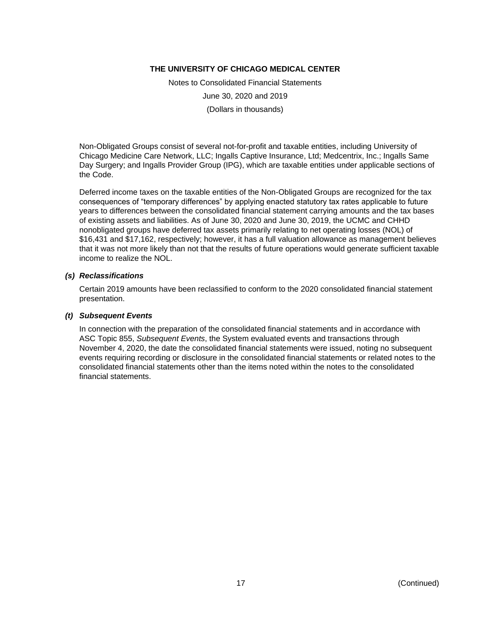Notes to Consolidated Financial Statements June 30, 2020 and 2019 (Dollars in thousands)

Non-Obligated Groups consist of several not-for-profit and taxable entities, including University of Chicago Medicine Care Network, LLC; Ingalls Captive Insurance, Ltd; Medcentrix, Inc.; Ingalls Same Day Surgery; and Ingalls Provider Group (IPG), which are taxable entities under applicable sections of the Code.

Deferred income taxes on the taxable entities of the Non-Obligated Groups are recognized for the tax consequences of "temporary differences" by applying enacted statutory tax rates applicable to future years to differences between the consolidated financial statement carrying amounts and the tax bases of existing assets and liabilities. As of June 30, 2020 and June 30, 2019, the UCMC and CHHD nonobligated groups have deferred tax assets primarily relating to net operating losses (NOL) of \$16,431 and \$17,162, respectively; however, it has a full valuation allowance as management believes that it was not more likely than not that the results of future operations would generate sufficient taxable income to realize the NOL.

#### *(s) Reclassifications*

Certain 2019 amounts have been reclassified to conform to the 2020 consolidated financial statement presentation.

#### *(t) Subsequent Events*

In connection with the preparation of the consolidated financial statements and in accordance with ASC Topic 855, *Subsequent Events*, the System evaluated events and transactions through November 4, 2020, the date the consolidated financial statements were issued, noting no subsequent events requiring recording or disclosure in the consolidated financial statements or related notes to the consolidated financial statements other than the items noted within the notes to the consolidated financial statements.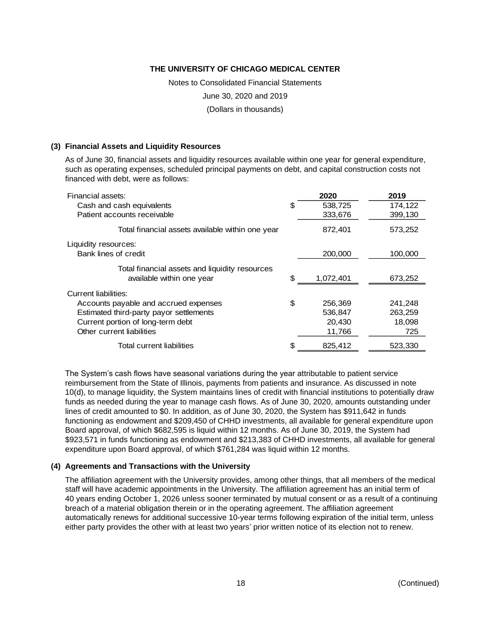Notes to Consolidated Financial Statements

June 30, 2020 and 2019

(Dollars in thousands)

#### **(3) Financial Assets and Liquidity Resources**

As of June 30, financial assets and liquidity resources available within one year for general expenditure, such as operating expenses, scheduled principal payments on debt, and capital construction costs not financed with debt, were as follows:

| Financial assets:                                |    | 2020      | 2019    |
|--------------------------------------------------|----|-----------|---------|
| Cash and cash equivalents                        | S  | 538,725   | 174,122 |
| Patient accounts receivable                      |    | 333,676   | 399,130 |
| Total financial assets available within one year |    | 872,401   | 573,252 |
| Liquidity resources:                             |    |           |         |
| Bank lines of credit                             |    | 200,000   | 100,000 |
| Total financial assets and liquidity resources   |    |           |         |
| available within one year                        | S. | 1,072,401 | 673,252 |
| Current liabilities:                             |    |           |         |
| Accounts payable and accrued expenses            | \$ | 256,369   | 241,248 |
| Estimated third-party payor settlements          |    | 536,847   | 263,259 |
| Current portion of long-term debt                |    | 20,430    | 18,098  |
| Other current liabilities                        |    | 11,766    | 725     |
| Total current liabilities                        |    | 825,412   | 523,330 |

The System's cash flows have seasonal variations during the year attributable to patient service reimbursement from the State of Illinois, payments from patients and insurance. As discussed in note 10(d), to manage liquidity, the System maintains lines of credit with financial institutions to potentially draw funds as needed during the year to manage cash flows. As of June 30, 2020, amounts outstanding under lines of credit amounted to \$0. In addition, as of June 30, 2020, the System has \$911,642 in funds functioning as endowment and \$209,450 of CHHD investments, all available for general expenditure upon Board approval, of which \$682,595 is liquid within 12 months. As of June 30, 2019, the System had \$923,571 in funds functioning as endowment and \$213,383 of CHHD investments, all available for general expenditure upon Board approval, of which \$761,284 was liquid within 12 months.

#### **(4) Agreements and Transactions with the University**

The affiliation agreement with the University provides, among other things, that all members of the medical staff will have academic appointments in the University. The affiliation agreement has an initial term of 40 years ending October 1, 2026 unless sooner terminated by mutual consent or as a result of a continuing breach of a material obligation therein or in the operating agreement. The affiliation agreement automatically renews for additional successive 10-year terms following expiration of the initial term, unless either party provides the other with at least two years' prior written notice of its election not to renew.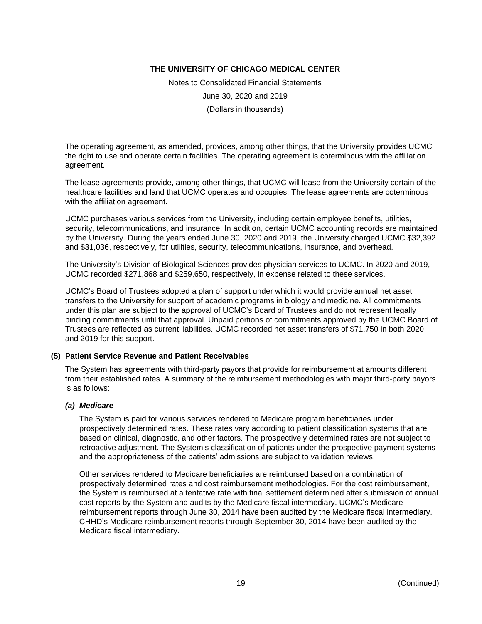Notes to Consolidated Financial Statements June 30, 2020 and 2019 (Dollars in thousands)

The operating agreement, as amended, provides, among other things, that the University provides UCMC the right to use and operate certain facilities. The operating agreement is coterminous with the affiliation agreement.

The lease agreements provide, among other things, that UCMC will lease from the University certain of the healthcare facilities and land that UCMC operates and occupies. The lease agreements are coterminous with the affiliation agreement.

UCMC purchases various services from the University, including certain employee benefits, utilities, security, telecommunications, and insurance. In addition, certain UCMC accounting records are maintained by the University. During the years ended June 30, 2020 and 2019, the University charged UCMC \$32,392 and \$31,036, respectively, for utilities, security, telecommunications, insurance, and overhead.

The University's Division of Biological Sciences provides physician services to UCMC. In 2020 and 2019, UCMC recorded \$271,868 and \$259,650, respectively, in expense related to these services.

UCMC's Board of Trustees adopted a plan of support under which it would provide annual net asset transfers to the University for support of academic programs in biology and medicine. All commitments under this plan are subject to the approval of UCMC's Board of Trustees and do not represent legally binding commitments until that approval. Unpaid portions of commitments approved by the UCMC Board of Trustees are reflected as current liabilities. UCMC recorded net asset transfers of \$71,750 in both 2020 and 2019 for this support.

#### **(5) Patient Service Revenue and Patient Receivables**

The System has agreements with third-party payors that provide for reimbursement at amounts different from their established rates. A summary of the reimbursement methodologies with major third-party payors is as follows:

#### *(a) Medicare*

The System is paid for various services rendered to Medicare program beneficiaries under prospectively determined rates. These rates vary according to patient classification systems that are based on clinical, diagnostic, and other factors. The prospectively determined rates are not subject to retroactive adjustment. The System's classification of patients under the prospective payment systems and the appropriateness of the patients' admissions are subject to validation reviews.

Other services rendered to Medicare beneficiaries are reimbursed based on a combination of prospectively determined rates and cost reimbursement methodologies. For the cost reimbursement, the System is reimbursed at a tentative rate with final settlement determined after submission of annual cost reports by the System and audits by the Medicare fiscal intermediary. UCMC's Medicare reimbursement reports through June 30, 2014 have been audited by the Medicare fiscal intermediary. CHHD's Medicare reimbursement reports through September 30, 2014 have been audited by the Medicare fiscal intermediary.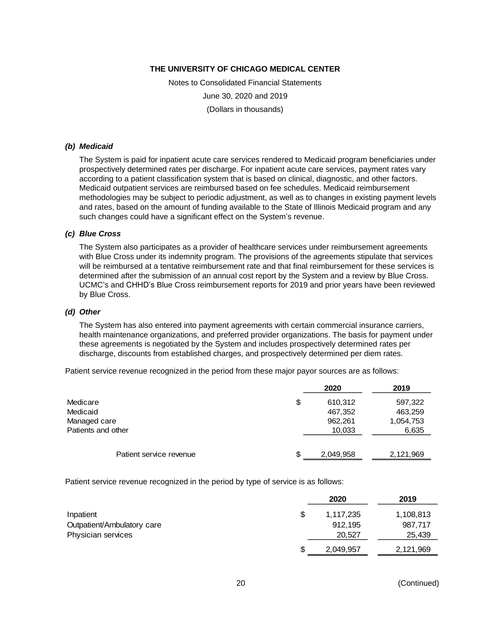Notes to Consolidated Financial Statements June 30, 2020 and 2019 (Dollars in thousands)

#### *(b) Medicaid*

The System is paid for inpatient acute care services rendered to Medicaid program beneficiaries under prospectively determined rates per discharge. For inpatient acute care services, payment rates vary according to a patient classification system that is based on clinical, diagnostic, and other factors. Medicaid outpatient services are reimbursed based on fee schedules. Medicaid reimbursement methodologies may be subject to periodic adjustment, as well as to changes in existing payment levels and rates, based on the amount of funding available to the State of Illinois Medicaid program and any such changes could have a significant effect on the System's revenue.

#### *(c) Blue Cross*

The System also participates as a provider of healthcare services under reimbursement agreements with Blue Cross under its indemnity program. The provisions of the agreements stipulate that services will be reimbursed at a tentative reimbursement rate and that final reimbursement for these services is determined after the submission of an annual cost report by the System and a review by Blue Cross. UCMC's and CHHD's Blue Cross reimbursement reports for 2019 and prior years have been reviewed by Blue Cross.

#### *(d) Other*

The System has also entered into payment agreements with certain commercial insurance carriers, health maintenance organizations, and preferred provider organizations. The basis for payment under these agreements is negotiated by the System and includes prospectively determined rates per discharge, discounts from established charges, and prospectively determined per diem rates.

Patient service revenue recognized in the period from these major payor sources are as follows:

|                         | 2020            | 2019      |
|-------------------------|-----------------|-----------|
| Medicare                | \$<br>610,312   | 597,322   |
| Medicaid                | 467,352         | 463,259   |
| Managed care            | 962,261         | 1,054,753 |
| Patients and other      | 10,033          | 6,635     |
| Patient service revenue | \$<br>2,049,958 | 2,121,969 |

Patient service revenue recognized in the period by type of service is as follows:

|                            |    | 2020      | 2019      |
|----------------------------|----|-----------|-----------|
| Inpatient                  | S  | 1,117,235 | 1,108,813 |
| Outpatient/Ambulatory care |    | 912.195   | 987.717   |
| Physician services         |    | 20,527    | 25,439    |
|                            | \$ | 2,049,957 | 2,121,969 |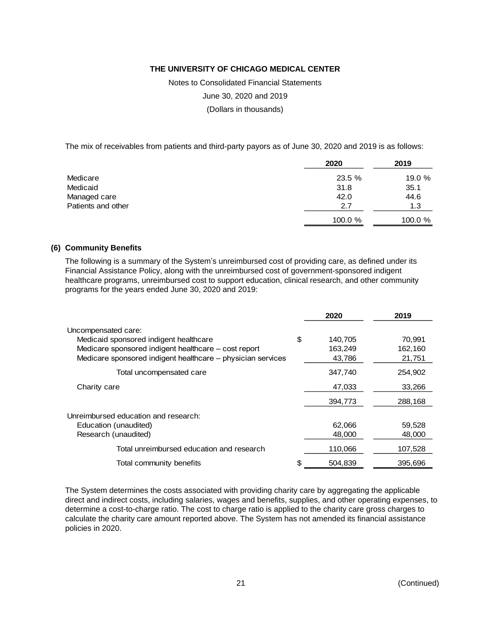Notes to Consolidated Financial Statements

June 30, 2020 and 2019

(Dollars in thousands)

The mix of receivables from patients and third-party payors as of June 30, 2020 and 2019 is as follows:

|                    | 2020       | 2019       |
|--------------------|------------|------------|
| Medicare           | 23.5 %     | 19.0 $%$   |
| Medicaid           | 31.8       | 35.1       |
| Managed care       | 42.0       | 44.6       |
| Patients and other | 2.7        | 1.3        |
|                    | $100.0 \%$ | $100.0 \%$ |

#### **(6) Community Benefits**

The following is a summary of the System's unreimbursed cost of providing care, as defined under its Financial Assistance Policy, along with the unreimbursed cost of government-sponsored indigent healthcare programs, unreimbursed cost to support education, clinical research, and other community programs for the years ended June 30, 2020 and 2019:

|                                                             | 2020          | 2019    |
|-------------------------------------------------------------|---------------|---------|
| Uncompensated care:                                         |               |         |
| Medicaid sponsored indigent healthcare                      | \$<br>140,705 | 70,991  |
| Medicare sponsored indigent healthcare - cost report        | 163,249       | 162,160 |
| Medicare sponsored indigent healthcare - physician services | 43,786        | 21,751  |
| Total uncompensated care                                    | 347,740       | 254,902 |
| Charity care                                                | 47,033        | 33,266  |
|                                                             | 394,773       | 288,168 |
| Unreimbursed education and research:                        |               |         |
| Education (unaudited)                                       | 62,066        | 59,528  |
| Research (unaudited)                                        | 48,000        | 48,000  |
| Total unreimbursed education and research                   | 110,066       | 107,528 |
| Total community benefits                                    | 504.839       | 395,696 |

The System determines the costs associated with providing charity care by aggregating the applicable direct and indirect costs, including salaries, wages and benefits, supplies, and other operating expenses, to determine a cost-to-charge ratio. The cost to charge ratio is applied to the charity care gross charges to calculate the charity care amount reported above. The System has not amended its financial assistance policies in 2020.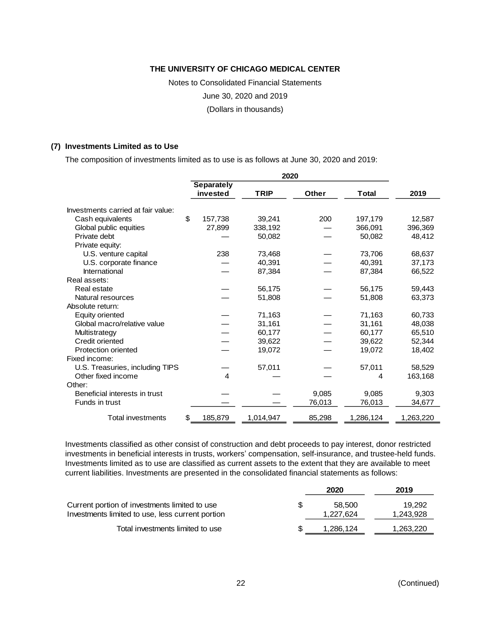Notes to Consolidated Financial Statements

June 30, 2020 and 2019

(Dollars in thousands)

#### **(7) Investments Limited as to Use**

The composition of investments limited as to use is as follows at June 30, 2020 and 2019:

|                                    | 2020 |            |             |              |              |           |
|------------------------------------|------|------------|-------------|--------------|--------------|-----------|
|                                    |      | Separately |             |              |              |           |
|                                    |      | invested   | <b>TRIP</b> | <b>Other</b> | <b>Total</b> | 2019      |
| Investments carried at fair value: |      |            |             |              |              |           |
| Cash equivalents                   | \$   | 157,738    | 39,241      | 200          | 197,179      | 12,587    |
| Global public equities             |      | 27,899     | 338,192     |              | 366,091      | 396,369   |
| Private debt                       |      |            | 50,082      |              | 50,082       | 48,412    |
| Private equity:                    |      |            |             |              |              |           |
| U.S. venture capital               |      | 238        | 73,468      |              | 73.706       | 68,637    |
| U.S. corporate finance             |      |            | 40,391      |              | 40,391       | 37,173    |
| International                      |      |            | 87,384      |              | 87,384       | 66,522    |
| Real assets:                       |      |            |             |              |              |           |
| Real estate                        |      |            | 56,175      |              | 56,175       | 59,443    |
| Natural resources                  |      |            | 51,808      |              | 51,808       | 63,373    |
| Absolute return:                   |      |            |             |              |              |           |
| <b>Equity oriented</b>             |      |            | 71,163      |              | 71,163       | 60,733    |
| Global macro/relative value        |      |            | 31,161      |              | 31,161       | 48,038    |
| Multistrategy                      |      |            | 60,177      |              | 60,177       | 65,510    |
| Credit oriented                    |      |            | 39,622      |              | 39,622       | 52,344    |
| <b>Protection oriented</b>         |      |            | 19,072      |              | 19,072       | 18,402    |
| Fixed income:                      |      |            |             |              |              |           |
| U.S. Treasuries, including TIPS    |      |            | 57,011      |              | 57,011       | 58,529    |
| Other fixed income                 |      | 4          |             |              | 4            | 163,168   |
| Other:                             |      |            |             |              |              |           |
| Beneficial interests in trust      |      |            |             | 9,085        | 9,085        | 9,303     |
| Funds in trust                     |      |            |             | 76,013       | 76,013       | 34,677    |
| <b>Total investments</b>           | \$   | 185,879    | 1,014,947   | 85,298       | 1,286,124    | 1,263,220 |

Investments classified as other consist of construction and debt proceeds to pay interest, donor restricted investments in beneficial interests in trusts, workers' compensation, self-insurance, and trustee-held funds. Investments limited as to use are classified as current assets to the extent that they are available to meet current liabilities. Investments are presented in the consolidated financial statements as follows:

|                                                                                                   | 2020                | 2019                |
|---------------------------------------------------------------------------------------------------|---------------------|---------------------|
| Current portion of investments limited to use<br>Investments limited to use, less current portion | 58.500<br>1,227,624 | 19.292<br>1,243,928 |
| Total investments limited to use                                                                  | 1,286,124           | 1,263,220           |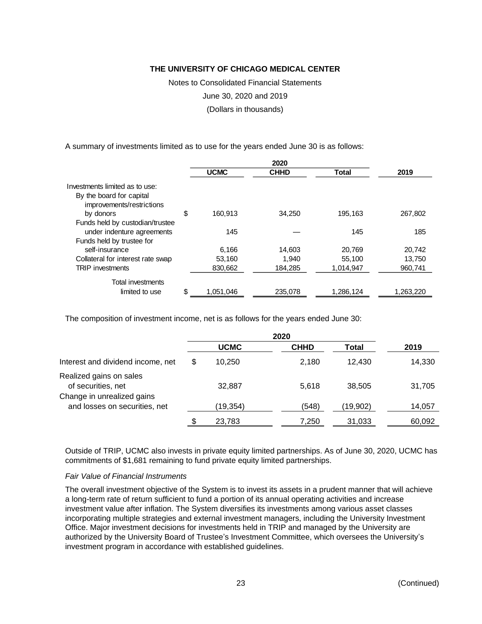Notes to Consolidated Financial Statements

June 30, 2020 and 2019

(Dollars in thousands)

A summary of investments limited as to use for the years ended June 30 is as follows:

|                                   | <b>UCMC</b>     | <b>CHHD</b> | <b>Total</b> | 2019      |
|-----------------------------------|-----------------|-------------|--------------|-----------|
| Investments limited as to use:    |                 |             |              |           |
| By the board for capital          |                 |             |              |           |
| improvements/restrictions         |                 |             |              |           |
| by donors                         | \$<br>160.913   | 34,250      | 195,163      | 267,802   |
| Funds held by custodian/trustee   |                 |             |              |           |
| under indenture agreements        | 145             |             | 145          | 185       |
| Funds held by trustee for         |                 |             |              |           |
| self-insurance                    | 6.166           | 14,603      | 20,769       | 20.742    |
| Collateral for interest rate swap | 53.160          | 1.940       | 55,100       | 13.750    |
| <b>TRIP</b> investments           | 830.662         | 184.285     | 1.014.947    | 960.741   |
| <b>Total investments</b>          |                 |             |              |           |
| limited to use                    | \$<br>1,051,046 | 235,078     | 1,286,124    | 1,263,220 |

The composition of investment income, net is as follows for the years ended June 30:

|                                                             | 2020 |             |             |          |        |
|-------------------------------------------------------------|------|-------------|-------------|----------|--------|
|                                                             |      | <b>UCMC</b> | <b>CHHD</b> | Total    | 2019   |
| Interest and dividend income, net                           | \$   | 10.250      | 2.180       | 12.430   | 14,330 |
| Realized gains on sales<br>of securities, net               |      | 32,887      | 5,618       | 38.505   | 31,705 |
| Change in unrealized gains<br>and losses on securities, net |      | (19,354)    | (548)       | (19,902) | 14,057 |
|                                                             | \$   | 23,783      | 7,250       | 31,033   | 60,092 |

Outside of TRIP, UCMC also invests in private equity limited partnerships. As of June 30, 2020, UCMC has commitments of \$1,681 remaining to fund private equity limited partnerships.

#### *Fair Value of Financial Instruments*

The overall investment objective of the System is to invest its assets in a prudent manner that will achieve a long-term rate of return sufficient to fund a portion of its annual operating activities and increase investment value after inflation. The System diversifies its investments among various asset classes incorporating multiple strategies and external investment managers, including the University Investment Office. Major investment decisions for investments held in TRIP and managed by the University are authorized by the University Board of Trustee's Investment Committee, which oversees the University's investment program in accordance with established guidelines.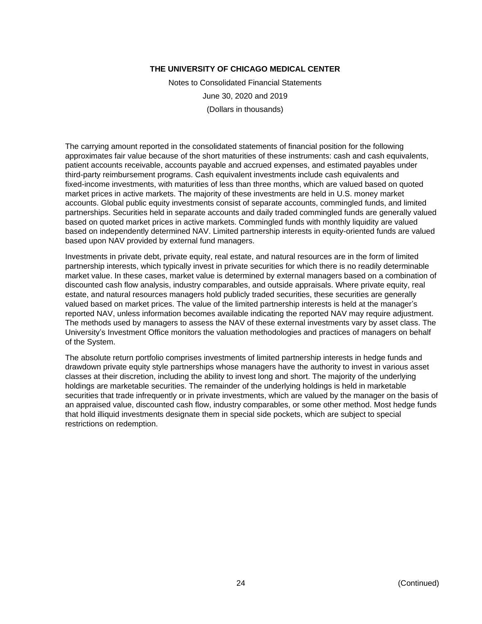Notes to Consolidated Financial Statements June 30, 2020 and 2019 (Dollars in thousands)

The carrying amount reported in the consolidated statements of financial position for the following approximates fair value because of the short maturities of these instruments: cash and cash equivalents, patient accounts receivable, accounts payable and accrued expenses, and estimated payables under third-party reimbursement programs. Cash equivalent investments include cash equivalents and fixed-income investments, with maturities of less than three months, which are valued based on quoted market prices in active markets. The majority of these investments are held in U.S. money market accounts. Global public equity investments consist of separate accounts, commingled funds, and limited partnerships. Securities held in separate accounts and daily traded commingled funds are generally valued based on quoted market prices in active markets. Commingled funds with monthly liquidity are valued based on independently determined NAV. Limited partnership interests in equity-oriented funds are valued based upon NAV provided by external fund managers.

Investments in private debt, private equity, real estate, and natural resources are in the form of limited partnership interests, which typically invest in private securities for which there is no readily determinable market value. In these cases, market value is determined by external managers based on a combination of discounted cash flow analysis, industry comparables, and outside appraisals. Where private equity, real estate, and natural resources managers hold publicly traded securities, these securities are generally valued based on market prices. The value of the limited partnership interests is held at the manager's reported NAV, unless information becomes available indicating the reported NAV may require adjustment. The methods used by managers to assess the NAV of these external investments vary by asset class. The University's Investment Office monitors the valuation methodologies and practices of managers on behalf of the System.

The absolute return portfolio comprises investments of limited partnership interests in hedge funds and drawdown private equity style partnerships whose managers have the authority to invest in various asset classes at their discretion, including the ability to invest long and short. The majority of the underlying holdings are marketable securities. The remainder of the underlying holdings is held in marketable securities that trade infrequently or in private investments, which are valued by the manager on the basis of an appraised value, discounted cash flow, industry comparables, or some other method. Most hedge funds that hold illiquid investments designate them in special side pockets, which are subject to special restrictions on redemption.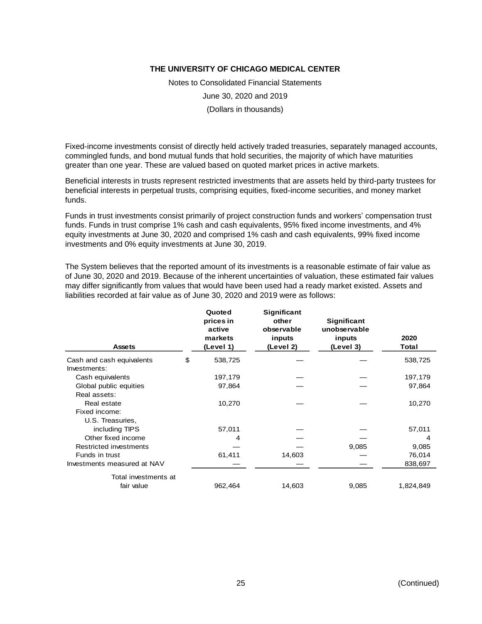Notes to Consolidated Financial Statements June 30, 2020 and 2019 (Dollars in thousands)

Fixed-income investments consist of directly held actively traded treasuries, separately managed accounts, commingled funds, and bond mutual funds that hold securities, the majority of which have maturities greater than one year. These are valued based on quoted market prices in active markets.

Beneficial interests in trusts represent restricted investments that are assets held by third-party trustees for beneficial interests in perpetual trusts, comprising equities, fixed-income securities, and money market funds.

Funds in trust investments consist primarily of project construction funds and workers' compensation trust funds. Funds in trust comprise 1% cash and cash equivalents, 95% fixed income investments, and 4% equity investments at June 30, 2020 and comprised 1% cash and cash equivalents, 99% fixed income investments and 0% equity investments at June 30, 2019.

The System believes that the reported amount of its investments is a reasonable estimate of fair value as of June 30, 2020 and 2019. Because of the inherent uncertainties of valuation, these estimated fair values may differ significantly from values that would have been used had a ready market existed. Assets and liabilities recorded at fair value as of June 30, 2020 and 2019 were as follows:

| <b>Assets</b>               | Quoted<br>prices in<br>active<br>markets<br>(Level 1) | <b>Significant</b><br>other<br>observable<br>inputs<br>(Level 2) | <b>Significant</b><br>unobservable<br>inputs<br>(Level 3) | 2020<br>Total |
|-----------------------------|-------------------------------------------------------|------------------------------------------------------------------|-----------------------------------------------------------|---------------|
| Cash and cash equivalents   | \$<br>538,725                                         |                                                                  |                                                           | 538,725       |
| Investments:                |                                                       |                                                                  |                                                           |               |
| Cash equivalents            | 197,179                                               |                                                                  |                                                           | 197,179       |
| Global public equities      | 97,864                                                |                                                                  |                                                           | 97,864        |
| Real assets:                |                                                       |                                                                  |                                                           |               |
| Real estate                 | 10,270                                                |                                                                  |                                                           | 10,270        |
| Fixed income:               |                                                       |                                                                  |                                                           |               |
| U.S. Treasuries,            |                                                       |                                                                  |                                                           |               |
| including TIPS              | 57,011                                                |                                                                  |                                                           | 57,011        |
| Other fixed income          | 4                                                     |                                                                  |                                                           | 4             |
| Restricted investments      |                                                       |                                                                  | 9,085                                                     | 9,085         |
| Funds in trust              | 61,411                                                | 14,603                                                           |                                                           | 76,014        |
| Investments measured at NAV |                                                       |                                                                  |                                                           | 838,697       |
| Total investments at        |                                                       |                                                                  |                                                           |               |
| fair value                  | 962,464                                               | 14,603                                                           | 9,085                                                     | 1,824,849     |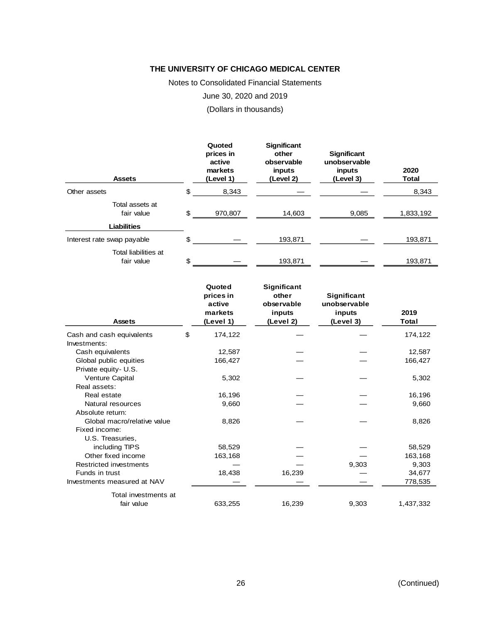Notes to Consolidated Financial Statements

June 30, 2020 and 2019

(Dollars in thousands)

| <b>Assets</b>                      | Quoted<br>prices in<br>active<br>markets<br>(Level 1) | <b>Significant</b><br>other<br>observable<br>inputs<br>(Level 2) | <b>Significant</b><br>unobservable<br>inputs<br>(Level 3) | 2020<br><b>Total</b> |
|------------------------------------|-------------------------------------------------------|------------------------------------------------------------------|-----------------------------------------------------------|----------------------|
| Other assets                       | \$<br>8,343                                           |                                                                  |                                                           | 8,343                |
| Total assets at<br>fair value      | \$<br>970,807                                         | 14,603                                                           | 9,085                                                     | 1,833,192            |
| <b>Liabilities</b>                 |                                                       |                                                                  |                                                           |                      |
| Interest rate swap payable         | \$                                                    | 193.871                                                          |                                                           | 193,871              |
| Total liabilities at<br>fair value | \$                                                    | 193,871                                                          |                                                           | 193,871              |

| <b>Assets</b>                 | Quoted<br>prices in<br>active<br>markets<br>(Level 1) | Significant<br>other<br>observable<br>inputs<br>(Level 2) | Significant<br>unobservable<br>inputs<br>(Level 3) | 2019<br>Total |
|-------------------------------|-------------------------------------------------------|-----------------------------------------------------------|----------------------------------------------------|---------------|
| Cash and cash equivalents     | \$<br>174,122                                         |                                                           |                                                    | 174,122       |
| Investments:                  |                                                       |                                                           |                                                    |               |
| Cash equivalents              | 12,587                                                |                                                           |                                                    | 12,587        |
| Global public equities        | 166,427                                               |                                                           |                                                    | 166,427       |
| Private equity- U.S.          |                                                       |                                                           |                                                    |               |
| Venture Capital               | 5,302                                                 |                                                           |                                                    | 5,302         |
| Real assets:                  |                                                       |                                                           |                                                    |               |
| Real estate                   | 16,196                                                |                                                           |                                                    | 16,196        |
| Natural resources             | 9,660                                                 |                                                           |                                                    | 9,660         |
| Absolute return:              |                                                       |                                                           |                                                    |               |
| Global macro/relative value   | 8,826                                                 |                                                           |                                                    | 8,826         |
| Fixed income:                 |                                                       |                                                           |                                                    |               |
| U.S. Treasuries,              |                                                       |                                                           |                                                    |               |
| including TIPS                | 58,529                                                |                                                           |                                                    | 58,529        |
| Other fixed income            | 163,168                                               |                                                           |                                                    | 163,168       |
| <b>Restricted investments</b> |                                                       |                                                           | 9,303                                              | 9,303         |
| Funds in trust                | 18,438                                                | 16,239                                                    |                                                    | 34,677        |
| Investments measured at NAV   |                                                       |                                                           |                                                    | 778,535       |
| Total investments at          |                                                       |                                                           |                                                    |               |
| fair value                    | 633,255                                               | 16,239                                                    | 9,303                                              | 1,437,332     |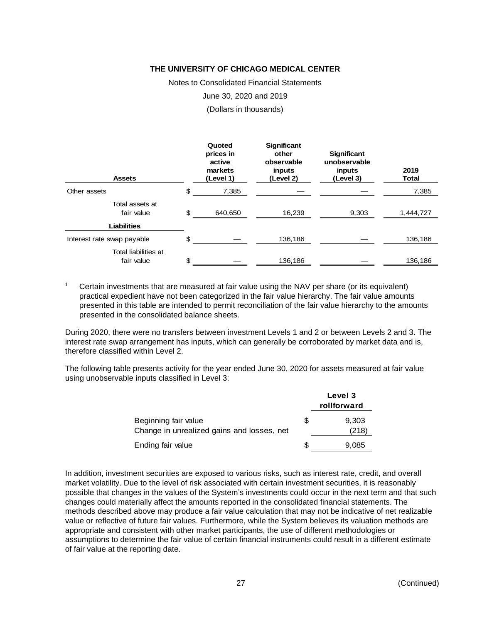Notes to Consolidated Financial Statements

June 30, 2020 and 2019

(Dollars in thousands)

| <b>Assets</b>                      | Quoted<br>prices in<br>active<br>markets<br>(Level 1) | <b>Significant</b><br>other<br>observable<br>inputs<br>(Level 2) | <b>Significant</b><br>unobservable<br>inputs<br>(Level 3) | 2019<br><b>Total</b> |
|------------------------------------|-------------------------------------------------------|------------------------------------------------------------------|-----------------------------------------------------------|----------------------|
| Other assets                       | \$<br>7,385                                           |                                                                  |                                                           | 7,385                |
| Total assets at<br>fair value      | \$<br>640,650                                         | 16,239                                                           | 9,303                                                     | 1,444,727            |
| <b>Liabilities</b>                 |                                                       |                                                                  |                                                           |                      |
| Interest rate swap payable         | \$                                                    | 136,186                                                          |                                                           | 136,186              |
| Total liabilities at<br>fair value | \$                                                    | 136,186                                                          |                                                           | 136,186              |

<sup>1</sup> Certain investments that are measured at fair value using the NAV per share (or its equivalent) practical expedient have not been categorized in the fair value hierarchy. The fair value amounts presented in this table are intended to permit reconciliation of the fair value hierarchy to the amounts presented in the consolidated balance sheets.

During 2020, there were no transfers between investment Levels 1 and 2 or between Levels 2 and 3. The interest rate swap arrangement has inputs, which can generally be corroborated by market data and is, therefore classified within Level 2.

The following table presents activity for the year ended June 30, 2020 for assets measured at fair value using unobservable inputs classified in Level 3:

|                                                                    |   | Level 3<br>rollforward |
|--------------------------------------------------------------------|---|------------------------|
| Beginning fair value<br>Change in unrealized gains and losses, net | S | 9,303<br>(218)         |
| Ending fair value                                                  | S | 9,085                  |

In addition, investment securities are exposed to various risks, such as interest rate, credit, and overall market volatility. Due to the level of risk associated with certain investment securities, it is reasonably possible that changes in the values of the System's investments could occur in the next term and that such changes could materially affect the amounts reported in the consolidated financial statements. The methods described above may produce a fair value calculation that may not be indicative of net realizable value or reflective of future fair values. Furthermore, while the System believes its valuation methods are appropriate and consistent with other market participants, the use of different methodologies or assumptions to determine the fair value of certain financial instruments could result in a different estimate of fair value at the reporting date.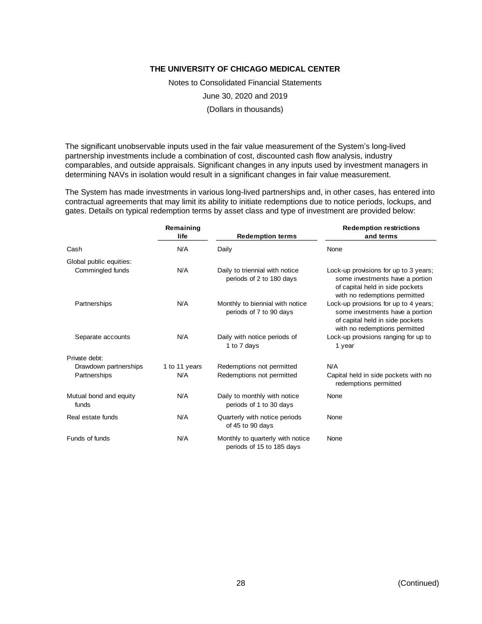Notes to Consolidated Financial Statements

June 30, 2020 and 2019

(Dollars in thousands)

The significant unobservable inputs used in the fair value measurement of the System's long-lived partnership investments include a combination of cost, discounted cash flow analysis, industry comparables, and outside appraisals. Significant changes in any inputs used by investment managers in determining NAVs in isolation would result in a significant changes in fair value measurement.

The System has made investments in various long-lived partnerships and, in other cases, has entered into contractual agreements that may limit its ability to initiate redemptions due to notice periods, lockups, and gates. Details on typical redemption terms by asset class and type of investment are provided below:

|                                 | Remaining<br>life | <b>Redemption terms</b>                                       | <b>Redemption restrictions</b><br>and terms                                                                                                  |  |
|---------------------------------|-------------------|---------------------------------------------------------------|----------------------------------------------------------------------------------------------------------------------------------------------|--|
| N/A<br>Cash                     |                   | Daily                                                         | None                                                                                                                                         |  |
| Global public equities:         |                   |                                                               |                                                                                                                                              |  |
| Commingled funds                | N/A               | Daily to triennial with notice<br>periods of 2 to 180 days    | Lock-up provisions for up to 3 years;<br>some investments have a portion<br>of capital held in side pockets<br>with no redemptions permitted |  |
| Partnerships                    | N/A               | Monthly to biennial with notice<br>periods of 7 to 90 days    | Lock-up provisions for up to 4 years;<br>some investments have a portion<br>of capital held in side pockets<br>with no redemptions permitted |  |
| Separate accounts               | N/A               | Daily with notice periods of<br>1 to 7 days                   | Lock-up provisions ranging for up to<br>1 year                                                                                               |  |
| Private debt:                   |                   |                                                               |                                                                                                                                              |  |
| Drawdown partnerships           | 1 to 11 years     | Redemptions not permitted                                     | N/A                                                                                                                                          |  |
| Partnerships                    | N/A               | Redemptions not permitted                                     | Capital held in side pockets with no<br>redemptions permitted                                                                                |  |
| Mutual bond and equity<br>funds | N/A               | Daily to monthly with notice<br>periods of 1 to 30 days       | None                                                                                                                                         |  |
| Real estate funds               | N/A               | Quarterly with notice periods<br>of 45 to 90 days             | None                                                                                                                                         |  |
| Funds of funds                  | N/A               | Monthly to quarterly with notice<br>periods of 15 to 185 days | None                                                                                                                                         |  |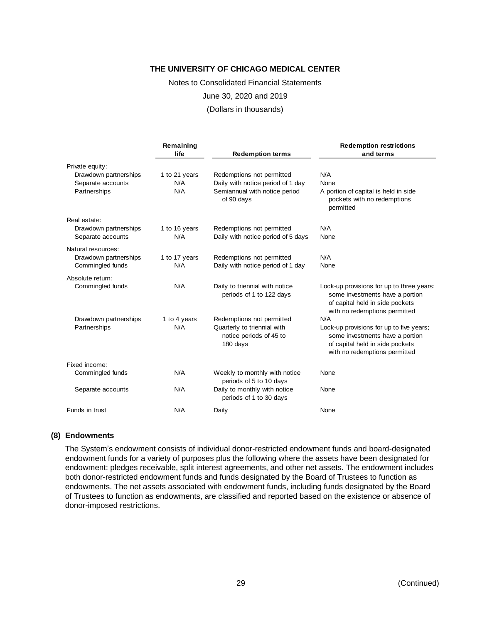Notes to Consolidated Financial Statements

June 30, 2020 and 2019

(Dollars in thousands)

|                                   | Remaining<br>life    | <b>Redemption terms</b>                                            | <b>Redemption restrictions</b><br>and terms                                                                                                      |
|-----------------------------------|----------------------|--------------------------------------------------------------------|--------------------------------------------------------------------------------------------------------------------------------------------------|
| Private equity:                   |                      |                                                                    |                                                                                                                                                  |
| Drawdown partnerships             | 1 to 21 years<br>N/A | Redemptions not permitted<br>Daily with notice period of 1 day     | N/A<br>None                                                                                                                                      |
| Separate accounts<br>Partnerships | N/A                  | Semiannual with notice period<br>of 90 days                        | A portion of capital is held in side<br>pockets with no redemptions<br>permitted                                                                 |
| Real estate:                      |                      |                                                                    |                                                                                                                                                  |
| Drawdown partnerships             | 1 to 16 years        | Redemptions not permitted                                          | N/A                                                                                                                                              |
| Separate accounts                 | N/A                  | Daily with notice period of 5 days                                 | None                                                                                                                                             |
| Natural resources:                |                      |                                                                    |                                                                                                                                                  |
| Drawdown partnerships             | 1 to 17 years        | Redemptions not permitted                                          | N/A                                                                                                                                              |
| Commingled funds                  | N/A                  | Daily with notice period of 1 day                                  | None                                                                                                                                             |
| Absolute return:                  |                      |                                                                    |                                                                                                                                                  |
| Commingled funds                  | N/A                  | Daily to triennial with notice<br>periods of 1 to 122 days         | Lock-up provisions for up to three years;<br>some investments have a portion<br>of capital held in side pockets<br>with no redemptions permitted |
| Drawdown partnerships             | 1 to 4 years         | Redemptions not permitted                                          | N/A                                                                                                                                              |
| Partnerships                      | N/A                  | Quarterly to triennial with<br>notice periods of 45 to<br>180 days | Lock-up provisions for up to five years;<br>some investments have a portion<br>of capital held in side pockets<br>with no redemptions permitted  |
| Fixed income:                     |                      |                                                                    |                                                                                                                                                  |
| Commingled funds                  | N/A                  | Weekly to monthly with notice<br>periods of 5 to 10 days           | None                                                                                                                                             |
| Separate accounts                 | N/A                  | Daily to monthly with notice<br>periods of 1 to 30 days            | None                                                                                                                                             |
| Funds in trust                    | N/A                  | Daily                                                              | None                                                                                                                                             |

#### **(8) Endowments**

The System's endowment consists of individual donor-restricted endowment funds and board-designated endowment funds for a variety of purposes plus the following where the assets have been designated for endowment: pledges receivable, split interest agreements, and other net assets. The endowment includes both donor-restricted endowment funds and funds designated by the Board of Trustees to function as endowments. The net assets associated with endowment funds, including funds designated by the Board of Trustees to function as endowments, are classified and reported based on the existence or absence of donor-imposed restrictions.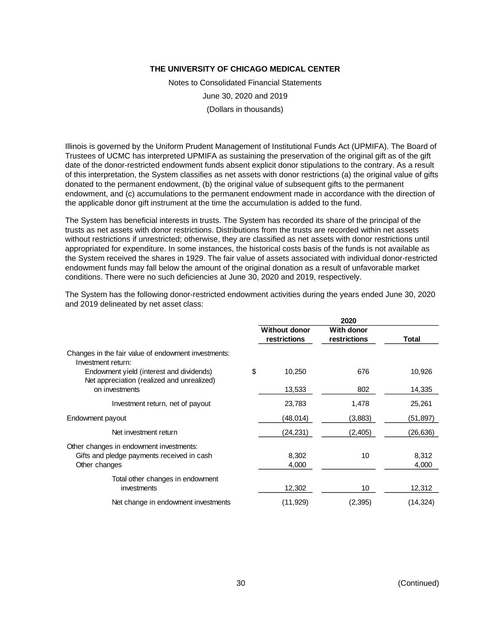Notes to Consolidated Financial Statements June 30, 2020 and 2019 (Dollars in thousands)

Illinois is governed by the Uniform Prudent Management of Institutional Funds Act (UPMIFA). The Board of Trustees of UCMC has interpreted UPMIFA as sustaining the preservation of the original gift as of the gift date of the donor-restricted endowment funds absent explicit donor stipulations to the contrary. As a result of this interpretation, the System classifies as net assets with donor restrictions (a) the original value of gifts donated to the permanent endowment, (b) the original value of subsequent gifts to the permanent endowment, and (c) accumulations to the permanent endowment made in accordance with the direction of the applicable donor gift instrument at the time the accumulation is added to the fund.

The System has beneficial interests in trusts. The System has recorded its share of the principal of the trusts as net assets with donor restrictions. Distributions from the trusts are recorded within net assets without restrictions if unrestricted; otherwise, they are classified as net assets with donor restrictions until appropriated for expenditure. In some instances, the historical costs basis of the funds is not available as the System received the shares in 1929. The fair value of assets associated with individual donor-restricted endowment funds may fall below the amount of the original donation as a result of unfavorable market conditions. There were no such deficiencies at June 30, 2020 and 2019, respectively.

|                                                                                        | 2020                                 |                            |          |
|----------------------------------------------------------------------------------------|--------------------------------------|----------------------------|----------|
|                                                                                        | <b>Without donor</b><br>restrictions | With donor<br>restrictions | Total    |
| Changes in the fair value of endowment investments:<br>Investment return:              |                                      |                            |          |
| Endowment yield (interest and dividends)<br>Net appreciation (realized and unrealized) | \$<br>10,250                         | 676                        | 10,926   |
| on investments                                                                         | 13,533                               | 802                        | 14,335   |
| Investment return, net of payout                                                       | 23,783                               | 1,478                      | 25,261   |
| Endowment payout                                                                       | (48,014)                             | (3,883)                    | (51,897) |
| Net investment return                                                                  | (24, 231)                            | (2, 405)                   | (26,636) |
| Other changes in endowment investments:                                                |                                      |                            |          |
| Gifts and pledge payments received in cash                                             | 8,302                                | 10                         | 8,312    |
| Other changes                                                                          | 4,000                                |                            | 4,000    |
| Total other changes in endowment                                                       |                                      |                            |          |
| investments                                                                            | 12,302                               | 10                         | 12,312   |
| Net change in endowment investments                                                    | (11, 929)                            | (2, 395)                   | (14,324) |

The System has the following donor-restricted endowment activities during the years ended June 30, 2020 and 2019 delineated by net asset class: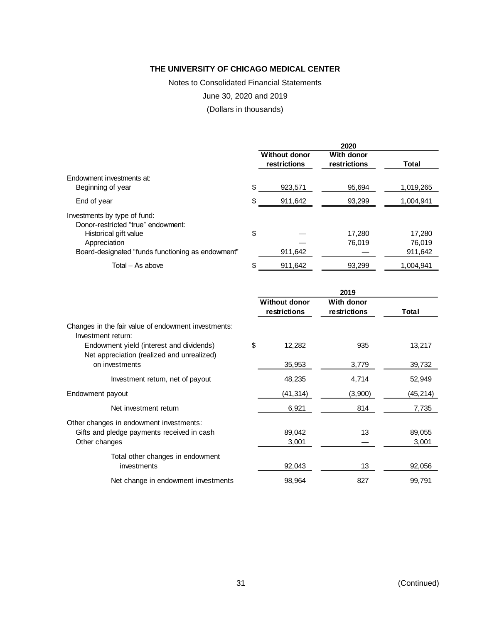Notes to Consolidated Financial Statements

June 30, 2020 and 2019

(Dollars in thousands)

|                                                   | 2020                                 |                            |           |  |
|---------------------------------------------------|--------------------------------------|----------------------------|-----------|--|
|                                                   | <b>Without donor</b><br>restrictions | With donor<br>restrictions | Total     |  |
| Endowment investments at:                         |                                      |                            |           |  |
| Beginning of year                                 | \$<br>923,571                        | 95.694                     | 1,019,265 |  |
| End of year                                       | \$<br>911,642                        | 93,299                     | 1,004,941 |  |
| Investments by type of fund:                      |                                      |                            |           |  |
| Donor-restricted "true" endowment:                |                                      |                            |           |  |
| Historical gift value                             | \$                                   | 17.280                     | 17,280    |  |
| Appreciation                                      |                                      | 76.019                     | 76.019    |  |
| Board-designated "funds functioning as endowment" | 911,642                              |                            | 911,642   |  |
| Total - As above                                  | \$<br>911.642                        | 93.299                     | 1.004.941 |  |

|                                                                                        | 2019                                 |                            |         |           |
|----------------------------------------------------------------------------------------|--------------------------------------|----------------------------|---------|-----------|
|                                                                                        | <b>Without donor</b><br>restrictions | With donor<br>restrictions |         | Total     |
| Changes in the fair value of endowment investments:<br>Investment return:              |                                      |                            |         |           |
| Endowment yield (interest and dividends)<br>Net appreciation (realized and unrealized) | \$<br>12,282                         |                            | 935     | 13,217    |
| on investments                                                                         | 35,953                               |                            | 3,779   | 39,732    |
| Investment return, net of payout                                                       | 48,235                               |                            | 4,714   | 52,949    |
| Endowment payout                                                                       | (41, 314)                            |                            | (3,900) | (45, 214) |
| Net investment return                                                                  | 6,921                                |                            | 814     | 7,735     |
| Other changes in endowment investments:                                                |                                      |                            |         |           |
| Gifts and pledge payments received in cash                                             | 89,042                               |                            | 13      | 89,055    |
| Other changes                                                                          | 3,001                                |                            |         | 3,001     |
| Total other changes in endowment                                                       |                                      |                            |         |           |
| investments                                                                            | 92,043                               |                            | 13      | 92,056    |
| Net change in endowment investments                                                    | 98,964                               |                            | 827     | 99,791    |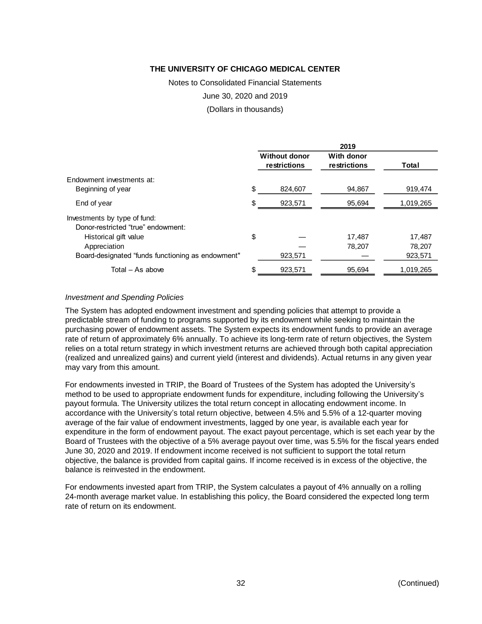Notes to Consolidated Financial Statements

June 30, 2020 and 2019

(Dollars in thousands)

|                                                   |                                      | 2019                       |           |
|---------------------------------------------------|--------------------------------------|----------------------------|-----------|
|                                                   | <b>Without donor</b><br>restrictions | With donor<br>restrictions | Total     |
| Endowment investments at:                         |                                      |                            |           |
| Beginning of year                                 | \$<br>824.607                        | 94,867                     | 919,474   |
| End of year                                       | \$<br>923,571                        | 95,694                     | 1,019,265 |
| Investments by type of fund:                      |                                      |                            |           |
| Donor-restricted "true" endowment:                |                                      |                            |           |
| Historical gift value                             | \$                                   | 17,487                     | 17,487    |
| Appreciation                                      |                                      | 78,207                     | 78,207    |
| Board-designated "funds functioning as endowment" | 923,571                              |                            | 923,571   |
| Total $-$ As above                                | \$<br>923,571                        | 95.694                     | 1,019,265 |

#### *Investment and Spending Policies*

The System has adopted endowment investment and spending policies that attempt to provide a predictable stream of funding to programs supported by its endowment while seeking to maintain the purchasing power of endowment assets. The System expects its endowment funds to provide an average rate of return of approximately 6% annually. To achieve its long-term rate of return objectives, the System relies on a total return strategy in which investment returns are achieved through both capital appreciation (realized and unrealized gains) and current yield (interest and dividends). Actual returns in any given year may vary from this amount.

For endowments invested in TRIP, the Board of Trustees of the System has adopted the University's method to be used to appropriate endowment funds for expenditure, including following the University's payout formula. The University utilizes the total return concept in allocating endowment income. In accordance with the University's total return objective, between 4.5% and 5.5% of a 12-quarter moving average of the fair value of endowment investments, lagged by one year, is available each year for expenditure in the form of endowment payout. The exact payout percentage, which is set each year by the Board of Trustees with the objective of a 5% average payout over time, was 5.5% for the fiscal years ended June 30, 2020 and 2019. If endowment income received is not sufficient to support the total return objective, the balance is provided from capital gains. If income received is in excess of the objective, the balance is reinvested in the endowment.

For endowments invested apart from TRIP, the System calculates a payout of 4% annually on a rolling 24-month average market value. In establishing this policy, the Board considered the expected long term rate of return on its endowment.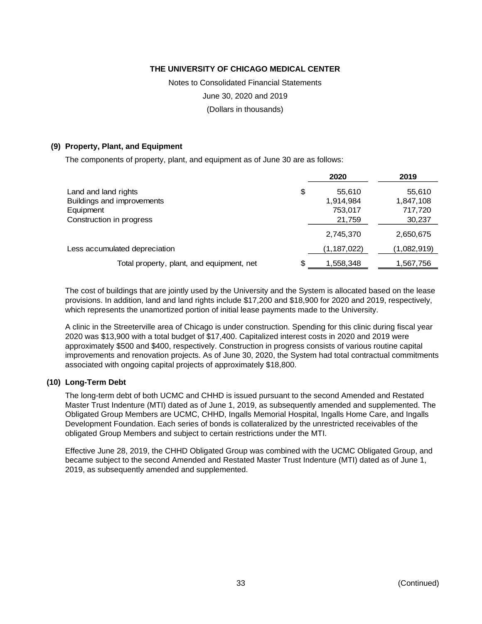Notes to Consolidated Financial Statements

June 30, 2020 and 2019

(Dollars in thousands)

#### **(9) Property, Plant, and Equipment**

The components of property, plant, and equipment as of June 30 are as follows:

| 2020         | 2019        |
|--------------|-------------|
| \$<br>55,610 | 55,610      |
| 1,914,984    | 1,847,108   |
| 753,017      | 717,720     |
| 21,759       | 30,237      |
| 2,745,370    | 2,650,675   |
| (1,187,022)  | (1,082,919) |
| 1,558,348    | 1,567,756   |
|              |             |

The cost of buildings that are jointly used by the University and the System is allocated based on the lease provisions. In addition, land and land rights include \$17,200 and \$18,900 for 2020 and 2019, respectively, which represents the unamortized portion of initial lease payments made to the University.

A clinic in the Streeterville area of Chicago is under construction. Spending for this clinic during fiscal year 2020 was \$13,900 with a total budget of \$17,400. Capitalized interest costs in 2020 and 2019 were approximately \$500 and \$400, respectively. Construction in progress consists of various routine capital improvements and renovation projects. As of June 30, 2020, the System had total contractual commitments associated with ongoing capital projects of approximately \$18,800.

#### **(10) Long-Term Debt**

The long-term debt of both UCMC and CHHD is issued pursuant to the second Amended and Restated Master Trust Indenture (MTI) dated as of June 1, 2019, as subsequently amended and supplemented. The Obligated Group Members are UCMC, CHHD, Ingalls Memorial Hospital, Ingalls Home Care, and Ingalls Development Foundation. Each series of bonds is collateralized by the unrestricted receivables of the obligated Group Members and subject to certain restrictions under the MTI.

Effective June 28, 2019, the CHHD Obligated Group was combined with the UCMC Obligated Group, and became subject to the second Amended and Restated Master Trust Indenture (MTI) dated as of June 1, 2019, as subsequently amended and supplemented.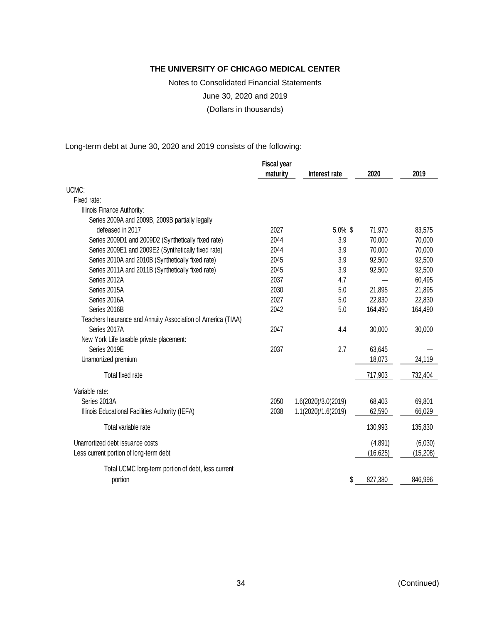Notes to Consolidated Financial Statements

June 30, 2020 and 2019

(Dollars in thousands)

Long-term debt at June 30, 2020 and 2019 consists of the following:

|                                                              | <b>Fiscal year</b> |                     |           |           |
|--------------------------------------------------------------|--------------------|---------------------|-----------|-----------|
|                                                              | maturity           | Interest rate       | 2020      | 2019      |
| UCMC:                                                        |                    |                     |           |           |
| Fixed rate:                                                  |                    |                     |           |           |
| Illinois Finance Authority:                                  |                    |                     |           |           |
| Series 2009A and 2009B, 2009B partially legally              |                    |                     |           |           |
| defeased in 2017                                             | 2027               | 5.0% \$             | 71,970    | 83,575    |
| Series 2009D1 and 2009D2 (Synthetically fixed rate)          | 2044               | 3.9                 | 70,000    | 70,000    |
| Series 2009E1 and 2009E2 (Synthetically fixed rate)          | 2044               | 3.9                 | 70,000    | 70,000    |
| Series 2010A and 2010B (Synthetically fixed rate)            | 2045               | 3.9                 | 92,500    | 92,500    |
| Series 2011A and 2011B (Synthetically fixed rate)            | 2045               | 3.9                 | 92,500    | 92,500    |
| Series 2012A                                                 | 2037               | 4.7                 |           | 60,495    |
| Series 2015A                                                 | 2030               | 5.0                 | 21,895    | 21,895    |
| Series 2016A                                                 | 2027               | 5.0                 | 22,830    | 22,830    |
| Series 2016B                                                 | 2042               | 5.0                 | 164,490   | 164,490   |
| Teachers Insurance and Annuity Association of America (TIAA) |                    |                     |           |           |
| Series 2017A                                                 | 2047               | 4.4                 | 30,000    | 30,000    |
| New York Life taxable private placement:                     |                    |                     |           |           |
| Series 2019E                                                 | 2037               | 2.7                 | 63,645    |           |
| Unamortized premium                                          |                    |                     | 18,073    | 24,119    |
| Total fixed rate                                             |                    |                     | 717,903   | 732,404   |
| Variable rate:                                               |                    |                     |           |           |
| Series 2013A                                                 | 2050               | 1.6(2020)/3.0(2019) | 68,403    | 69,801    |
| Illinois Educational Facilities Authority (IEFA)             | 2038               | 1.1(2020)/1.6(2019) | 62,590    | 66,029    |
| Total variable rate                                          |                    |                     | 130,993   | 135,830   |
| Unamortized debt issuance costs                              |                    |                     | (4,891)   | (6,030)   |
| Less current portion of long-term debt                       |                    |                     | (16, 625) | (15, 208) |
| Total UCMC long-term portion of debt, less current           |                    |                     |           |           |
| portion                                                      |                    | \$                  | 827,380   | 846,996   |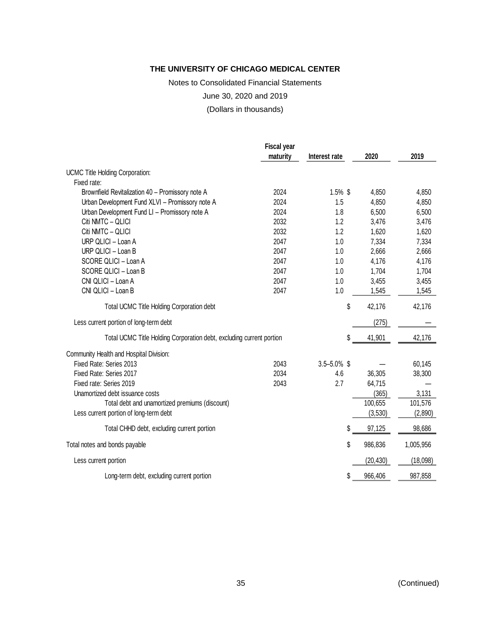Notes to Consolidated Financial Statements

June 30, 2020 and 2019

(Dollars in thousands)

|                                                                      | <b>Fiscal year</b> |                  |           |           |
|----------------------------------------------------------------------|--------------------|------------------|-----------|-----------|
|                                                                      | maturity           | Interest rate    | 2020      | 2019      |
| <b>UCMC Title Holding Corporation:</b>                               |                    |                  |           |           |
| Fixed rate:                                                          |                    |                  |           |           |
| Brownfield Revitalization 40 - Promissory note A                     | 2024               | $1.5\%$ \$       | 4,850     | 4,850     |
| Urban Development Fund XLVI - Promissory note A                      | 2024               | 1.5              | 4,850     | 4,850     |
| Urban Development Fund LI - Promissory note A                        | 2024               | 1.8              | 6,500     | 6,500     |
| Citi NMTC - QLICI                                                    | 2032               | 1.2              | 3,476     | 3,476     |
| Citi NMTC - QLICI                                                    | 2032               | 1.2              | 1,620     | 1,620     |
| URP QLICI - Loan A                                                   | 2047               | 1.0              | 7,334     | 7,334     |
| URP QLICI - Loan B                                                   | 2047               | 1.0              | 2,666     | 2,666     |
| SCORE QLICI - Loan A                                                 | 2047               | 1.0              | 4,176     | 4,176     |
| SCORE QLICI - Loan B                                                 | 2047               | 1.0              | 1,704     | 1,704     |
| CNI QLICI - Loan A                                                   | 2047               | 1.0              | 3,455     | 3,455     |
| CNI QLICI - Loan B                                                   | 2047               | 1.0              | 1,545     | 1,545     |
| Total UCMC Title Holding Corporation debt                            |                    | \$               | 42,176    | 42,176    |
| Less current portion of long-term debt                               |                    |                  | (275)     |           |
| Total UCMC Title Holding Corporation debt, excluding current portion |                    | \$               | 41,901    | 42,176    |
| Community Health and Hospital Division:                              |                    |                  |           |           |
| Fixed Rate: Series 2013                                              | 2043               | $3.5 - 5.0\%$ \$ |           | 60,145    |
| Fixed Rate: Series 2017                                              | 2034               | 4.6              | 36,305    | 38,300    |
| Fixed rate: Series 2019                                              | 2043               | 2.7              | 64,715    |           |
| Unamortized debt issuance costs                                      |                    |                  | (365)     | 3,131     |
| Total debt and unamortized premiums (discount)                       |                    |                  | 100,655   | 101,576   |
| Less current portion of long-term debt                               |                    |                  | (3,530)   | (2,890)   |
| Total CHHD debt, excluding current portion                           |                    | \$               | 97,125    | 98,686    |
| Total notes and bonds payable                                        |                    | \$               | 986,836   | 1,005,956 |
| Less current portion                                                 |                    |                  | (20, 430) | (18,098)  |
| Long-term debt, excluding current portion                            |                    | \$               | 966,406   | 987,858   |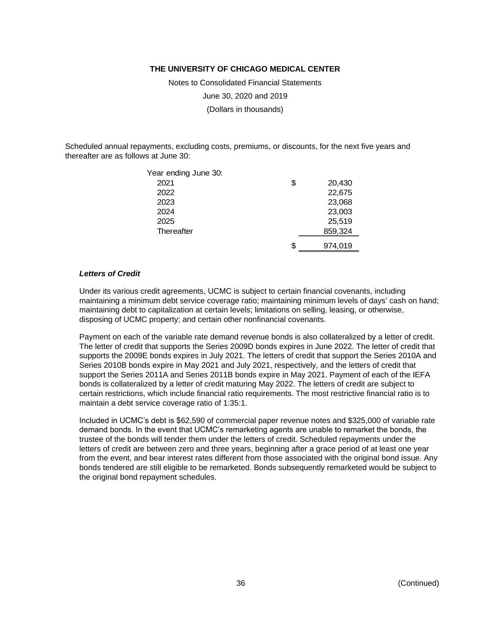Notes to Consolidated Financial Statements

June 30, 2020 and 2019

(Dollars in thousands)

Scheduled annual repayments, excluding costs, premiums, or discounts, for the next five years and thereafter are as follows at June 30:

| Year ending June 30: |    |         |
|----------------------|----|---------|
| 2021                 | \$ | 20,430  |
| 2022                 |    | 22,675  |
| 2023                 |    | 23,068  |
| 2024                 |    | 23,003  |
| 2025                 |    | 25,519  |
| Thereafter           |    | 859,324 |
|                      | S. | 974,019 |

#### *Letters of Credit*

Under its various credit agreements, UCMC is subject to certain financial covenants, including maintaining a minimum debt service coverage ratio; maintaining minimum levels of days' cash on hand; maintaining debt to capitalization at certain levels; limitations on selling, leasing, or otherwise, disposing of UCMC property; and certain other nonfinancial covenants.

Payment on each of the variable rate demand revenue bonds is also collateralized by a letter of credit. The letter of credit that supports the Series 2009D bonds expires in June 2022. The letter of credit that supports the 2009E bonds expires in July 2021. The letters of credit that support the Series 2010A and Series 2010B bonds expire in May 2021 and July 2021, respectively, and the letters of credit that support the Series 2011A and Series 2011B bonds expire in May 2021. Payment of each of the IEFA bonds is collateralized by a letter of credit maturing May 2022. The letters of credit are subject to certain restrictions, which include financial ratio requirements. The most restrictive financial ratio is to maintain a debt service coverage ratio of 1:35:1.

Included in UCMC's debt is \$62,590 of commercial paper revenue notes and \$325,000 of variable rate demand bonds. In the event that UCMC's remarketing agents are unable to remarket the bonds, the trustee of the bonds will tender them under the letters of credit. Scheduled repayments under the letters of credit are between zero and three years, beginning after a grace period of at least one year from the event, and bear interest rates different from those associated with the original bond issue. Any bonds tendered are still eligible to be remarketed. Bonds subsequently remarketed would be subject to the original bond repayment schedules.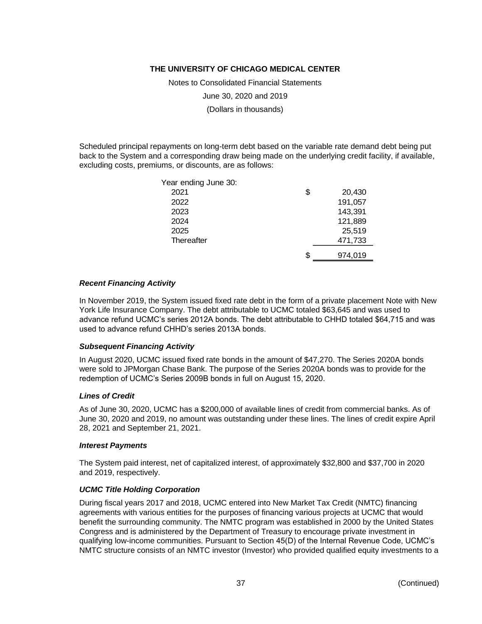Notes to Consolidated Financial Statements

June 30, 2020 and 2019

(Dollars in thousands)

Scheduled principal repayments on long-term debt based on the variable rate demand debt being put back to the System and a corresponding draw being made on the underlying credit facility, if available, excluding costs, premiums, or discounts, are as follows:

| Year ending June 30: |               |
|----------------------|---------------|
| 2021                 | \$<br>20,430  |
| 2022                 | 191,057       |
| 2023                 | 143,391       |
| 2024                 | 121,889       |
| 2025                 | 25,519        |
| Thereafter           | 471,733       |
|                      | \$<br>974,019 |

#### *Recent Financing Activity*

In November 2019, the System issued fixed rate debt in the form of a private placement Note with New York Life Insurance Company. The debt attributable to UCMC totaled \$63,645 and was used to advance refund UCMC's series 2012A bonds. The debt attributable to CHHD totaled \$64,715 and was used to advance refund CHHD's series 2013A bonds.

#### *Subsequent Financing Activity*

In August 2020, UCMC issued fixed rate bonds in the amount of \$47,270. The Series 2020A bonds were sold to JPMorgan Chase Bank. The purpose of the Series 2020A bonds was to provide for the redemption of UCMC's Series 2009B bonds in full on August 15, 2020.

#### *Lines of Credit*

As of June 30, 2020, UCMC has a \$200,000 of available lines of credit from commercial banks. As of June 30, 2020 and 2019, no amount was outstanding under these lines. The lines of credit expire April 28, 2021 and September 21, 2021.

#### *Interest Payments*

The System paid interest, net of capitalized interest, of approximately \$32,800 and \$37,700 in 2020 and 2019, respectively.

#### *UCMC Title Holding Corporation*

During fiscal years 2017 and 2018, UCMC entered into New Market Tax Credit (NMTC) financing agreements with various entities for the purposes of financing various projects at UCMC that would benefit the surrounding community. The NMTC program was established in 2000 by the United States Congress and is administered by the Department of Treasury to encourage private investment in qualifying low-income communities. Pursuant to Section 45(D) of the Internal Revenue Code, UCMC's NMTC structure consists of an NMTC investor (Investor) who provided qualified equity investments to a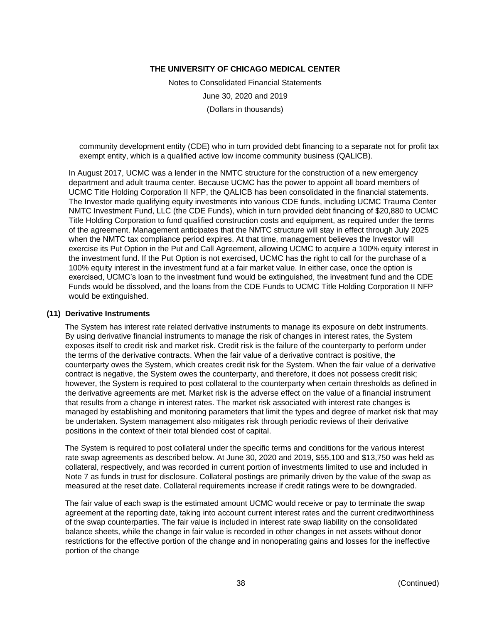Notes to Consolidated Financial Statements June 30, 2020 and 2019 (Dollars in thousands)

community development entity (CDE) who in turn provided debt financing to a separate not for profit tax exempt entity, which is a qualified active low income community business (QALICB).

In August 2017, UCMC was a lender in the NMTC structure for the construction of a new emergency department and adult trauma center. Because UCMC has the power to appoint all board members of UCMC Title Holding Corporation II NFP, the QALICB has been consolidated in the financial statements. The Investor made qualifying equity investments into various CDE funds, including UCMC Trauma Center NMTC Investment Fund, LLC (the CDE Funds), which in turn provided debt financing of \$20,880 to UCMC Title Holding Corporation to fund qualified construction costs and equipment, as required under the terms of the agreement. Management anticipates that the NMTC structure will stay in effect through July 2025 when the NMTC tax compliance period expires. At that time, management believes the Investor will exercise its Put Option in the Put and Call Agreement, allowing UCMC to acquire a 100% equity interest in the investment fund. If the Put Option is not exercised, UCMC has the right to call for the purchase of a 100% equity interest in the investment fund at a fair market value. In either case, once the option is exercised, UCMC's loan to the investment fund would be extinguished, the investment fund and the CDE Funds would be dissolved, and the loans from the CDE Funds to UCMC Title Holding Corporation II NFP would be extinguished.

#### **(11) Derivative Instruments**

The System has interest rate related derivative instruments to manage its exposure on debt instruments. By using derivative financial instruments to manage the risk of changes in interest rates, the System exposes itself to credit risk and market risk. Credit risk is the failure of the counterparty to perform under the terms of the derivative contracts. When the fair value of a derivative contract is positive, the counterparty owes the System, which creates credit risk for the System. When the fair value of a derivative contract is negative, the System owes the counterparty, and therefore, it does not possess credit risk; however, the System is required to post collateral to the counterparty when certain thresholds as defined in the derivative agreements are met. Market risk is the adverse effect on the value of a financial instrument that results from a change in interest rates. The market risk associated with interest rate changes is managed by establishing and monitoring parameters that limit the types and degree of market risk that may be undertaken. System management also mitigates risk through periodic reviews of their derivative positions in the context of their total blended cost of capital.

The System is required to post collateral under the specific terms and conditions for the various interest rate swap agreements as described below. At June 30, 2020 and 2019, \$55,100 and \$13,750 was held as collateral, respectively, and was recorded in current portion of investments limited to use and included in Note 7 as funds in trust for disclosure. Collateral postings are primarily driven by the value of the swap as measured at the reset date. Collateral requirements increase if credit ratings were to be downgraded.

The fair value of each swap is the estimated amount UCMC would receive or pay to terminate the swap agreement at the reporting date, taking into account current interest rates and the current creditworthiness of the swap counterparties. The fair value is included in interest rate swap liability on the consolidated balance sheets, while the change in fair value is recorded in other changes in net assets without donor restrictions for the effective portion of the change and in nonoperating gains and losses for the ineffective portion of the change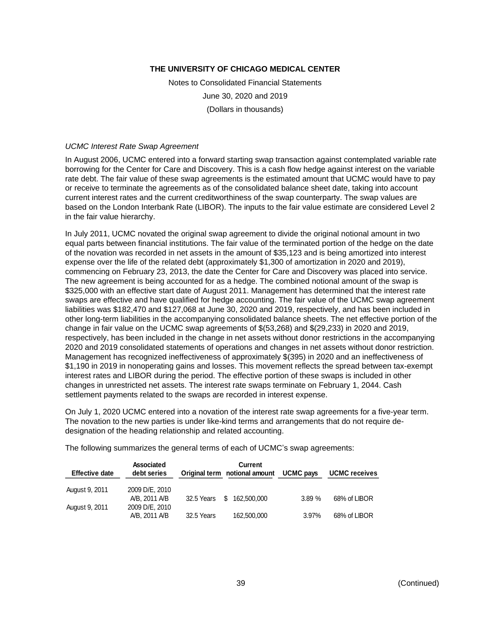Notes to Consolidated Financial Statements June 30, 2020 and 2019 (Dollars in thousands)

#### *UCMC Interest Rate Swap Agreement*

In August 2006, UCMC entered into a forward starting swap transaction against contemplated variable rate borrowing for the Center for Care and Discovery. This is a cash flow hedge against interest on the variable rate debt. The fair value of these swap agreements is the estimated amount that UCMC would have to pay or receive to terminate the agreements as of the consolidated balance sheet date, taking into account current interest rates and the current creditworthiness of the swap counterparty. The swap values are based on the London Interbank Rate (LIBOR). The inputs to the fair value estimate are considered Level 2 in the fair value hierarchy.

In July 2011, UCMC novated the original swap agreement to divide the original notional amount in two equal parts between financial institutions. The fair value of the terminated portion of the hedge on the date of the novation was recorded in net assets in the amount of \$35,123 and is being amortized into interest expense over the life of the related debt (approximately \$1,300 of amortization in 2020 and 2019), commencing on February 23, 2013, the date the Center for Care and Discovery was placed into service. The new agreement is being accounted for as a hedge. The combined notional amount of the swap is \$325,000 with an effective start date of August 2011. Management has determined that the interest rate swaps are effective and have qualified for hedge accounting. The fair value of the UCMC swap agreement liabilities was \$182,470 and \$127,068 at June 30, 2020 and 2019, respectively, and has been included in other long-term liabilities in the accompanying consolidated balance sheets. The net effective portion of the change in fair value on the UCMC swap agreements of \$(53,268) and \$(29,233) in 2020 and 2019, respectively, has been included in the change in net assets without donor restrictions in the accompanying 2020 and 2019 consolidated statements of operations and changes in net assets without donor restriction. Management has recognized ineffectiveness of approximately \$(395) in 2020 and an ineffectiveness of \$1,190 in 2019 in nonoperating gains and losses. This movement reflects the spread between tax-exempt interest rates and LIBOR during the period. The effective portion of these swaps is included in other changes in unrestricted net assets. The interest rate swaps terminate on February 1, 2044. Cash settlement payments related to the swaps are recorded in interest expense.

On July 1, 2020 UCMC entered into a novation of the interest rate swap agreements for a five-year term. The novation to the new parties is under like-kind terms and arrangements that do not require dedesignation of the heading relationship and related accounting.

The following summarizes the general terms of each of UCMC's swap agreements:

| <b>Effective date</b> | <b>Associated</b><br>debt series |            | Current<br>Original term notional amount | <b>UCMC</b> pays | <b>UCMC</b> receives |
|-----------------------|----------------------------------|------------|------------------------------------------|------------------|----------------------|
| August 9, 2011        | 2009 D/E, 2010                   |            |                                          |                  |                      |
|                       | A/B, 2011 A/B                    | 32.5 Years | S<br>162,500,000                         | 3.89%            | 68% of LIBOR         |
| August 9, 2011        | 2009 D/E, 2010                   |            |                                          |                  |                      |
|                       | A/B, 2011 A/B                    | 32.5 Years | 162,500,000                              | 3.97%            | 68% of LIBOR         |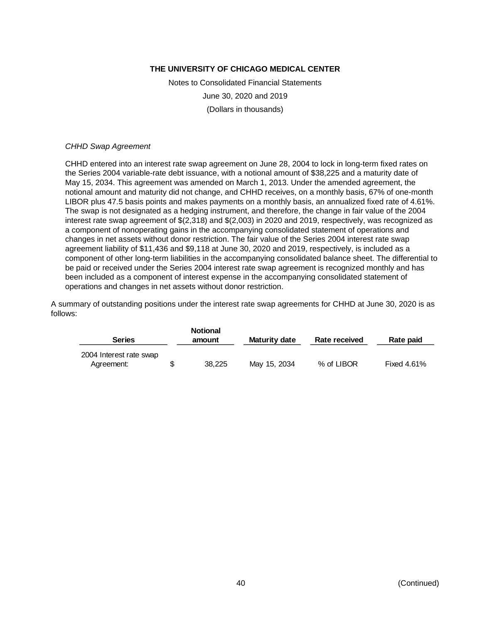Notes to Consolidated Financial Statements June 30, 2020 and 2019 (Dollars in thousands)

#### *CHHD Swap Agreement*

CHHD entered into an interest rate swap agreement on June 28, 2004 to lock in long-term fixed rates on the Series 2004 variable-rate debt issuance, with a notional amount of \$38,225 and a maturity date of May 15, 2034. This agreement was amended on March 1, 2013. Under the amended agreement, the notional amount and maturity did not change, and CHHD receives, on a monthly basis, 67% of one-month LIBOR plus 47.5 basis points and makes payments on a monthly basis, an annualized fixed rate of 4.61%. The swap is not designated as a hedging instrument, and therefore, the change in fair value of the 2004 interest rate swap agreement of \$(2,318) and \$(2,003) in 2020 and 2019, respectively, was recognized as a component of nonoperating gains in the accompanying consolidated statement of operations and changes in net assets without donor restriction. The fair value of the Series 2004 interest rate swap agreement liability of \$11,436 and \$9,118 at June 30, 2020 and 2019, respectively, is included as a component of other long-term liabilities in the accompanying consolidated balance sheet. The differential to be paid or received under the Series 2004 interest rate swap agreement is recognized monthly and has been included as a component of interest expense in the accompanying consolidated statement of operations and changes in net assets without donor restriction.

A summary of outstanding positions under the interest rate swap agreements for CHHD at June 30, 2020 is as follows:

| <b>Series</b>                         | <b>Notional</b><br>amount | <b>Maturity date</b> | Rate received | <b>Rate paid</b>   |
|---------------------------------------|---------------------------|----------------------|---------------|--------------------|
| 2004 Interest rate swap<br>Agreement: | 38.225                    | May 15, 2034         | % of LIBOR    | <b>Fixed 4.61%</b> |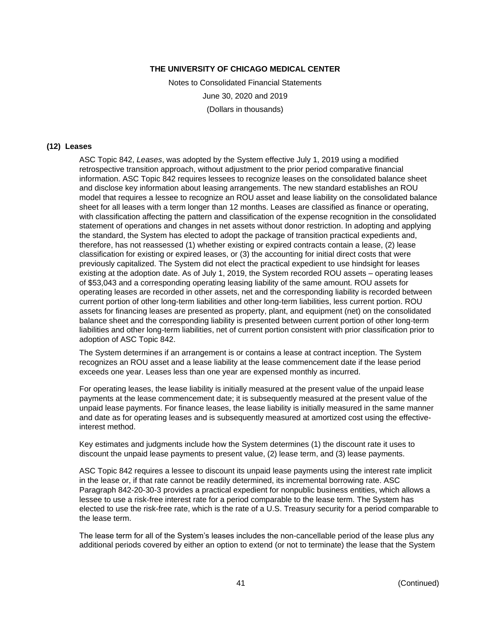Notes to Consolidated Financial Statements June 30, 2020 and 2019 (Dollars in thousands)

#### **(12) Leases**

ASC Topic 842, *Leases*, was adopted by the System effective July 1, 2019 using a modified retrospective transition approach, without adjustment to the prior period comparative financial information. ASC Topic 842 requires lessees to recognize leases on the consolidated balance sheet and disclose key information about leasing arrangements. The new standard establishes an ROU model that requires a lessee to recognize an ROU asset and lease liability on the consolidated balance sheet for all leases with a term longer than 12 months. Leases are classified as finance or operating, with classification affecting the pattern and classification of the expense recognition in the consolidated statement of operations and changes in net assets without donor restriction. In adopting and applying the standard, the System has elected to adopt the package of transition practical expedients and, therefore, has not reassessed (1) whether existing or expired contracts contain a lease, (2) lease classification for existing or expired leases, or (3) the accounting for initial direct costs that were previously capitalized. The System did not elect the practical expedient to use hindsight for leases existing at the adoption date. As of July 1, 2019, the System recorded ROU assets – operating leases of \$53,043 and a corresponding operating leasing liability of the same amount. ROU assets for operating leases are recorded in other assets, net and the corresponding liability is recorded between current portion of other long-term liabilities and other long-term liabilities, less current portion. ROU assets for financing leases are presented as property, plant, and equipment (net) on the consolidated balance sheet and the corresponding liability is presented between current portion of other long-term liabilities and other long-term liabilities, net of current portion consistent with prior classification prior to adoption of ASC Topic 842.

The System determines if an arrangement is or contains a lease at contract inception. The System recognizes an ROU asset and a lease liability at the lease commencement date if the lease period exceeds one year. Leases less than one year are expensed monthly as incurred.

For operating leases, the lease liability is initially measured at the present value of the unpaid lease payments at the lease commencement date; it is subsequently measured at the present value of the unpaid lease payments. For finance leases, the lease liability is initially measured in the same manner and date as for operating leases and is subsequently measured at amortized cost using the effectiveinterest method.

Key estimates and judgments include how the System determines (1) the discount rate it uses to discount the unpaid lease payments to present value, (2) lease term, and (3) lease payments.

ASC Topic 842 requires a lessee to discount its unpaid lease payments using the interest rate implicit in the lease or, if that rate cannot be readily determined, its incremental borrowing rate. ASC Paragraph 842-20-30-3 provides a practical expedient for nonpublic business entities, which allows a lessee to use a risk-free interest rate for a period comparable to the lease term. The System has elected to use the risk-free rate, which is the rate of a U.S. Treasury security for a period comparable to the lease term.

The lease term for all of the System's leases includes the non-cancellable period of the lease plus any additional periods covered by either an option to extend (or not to terminate) the lease that the System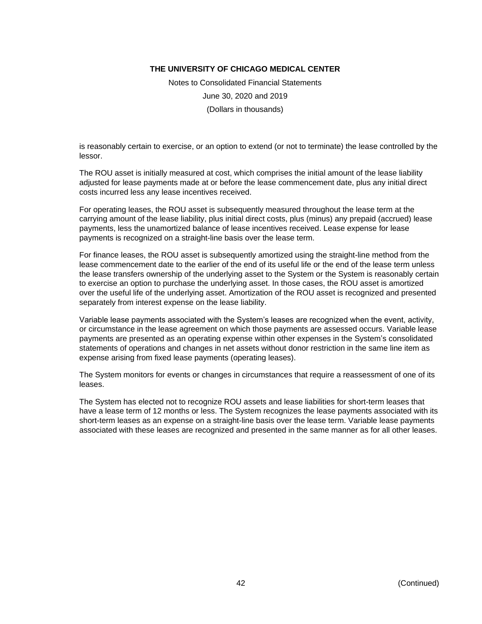Notes to Consolidated Financial Statements June 30, 2020 and 2019 (Dollars in thousands)

is reasonably certain to exercise, or an option to extend (or not to terminate) the lease controlled by the lessor.

The ROU asset is initially measured at cost, which comprises the initial amount of the lease liability adjusted for lease payments made at or before the lease commencement date, plus any initial direct costs incurred less any lease incentives received.

For operating leases, the ROU asset is subsequently measured throughout the lease term at the carrying amount of the lease liability, plus initial direct costs, plus (minus) any prepaid (accrued) lease payments, less the unamortized balance of lease incentives received. Lease expense for lease payments is recognized on a straight-line basis over the lease term.

For finance leases, the ROU asset is subsequently amortized using the straight-line method from the lease commencement date to the earlier of the end of its useful life or the end of the lease term unless the lease transfers ownership of the underlying asset to the System or the System is reasonably certain to exercise an option to purchase the underlying asset. In those cases, the ROU asset is amortized over the useful life of the underlying asset. Amortization of the ROU asset is recognized and presented separately from interest expense on the lease liability.

Variable lease payments associated with the System's leases are recognized when the event, activity, or circumstance in the lease agreement on which those payments are assessed occurs. Variable lease payments are presented as an operating expense within other expenses in the System's consolidated statements of operations and changes in net assets without donor restriction in the same line item as expense arising from fixed lease payments (operating leases).

The System monitors for events or changes in circumstances that require a reassessment of one of its leases.

The System has elected not to recognize ROU assets and lease liabilities for short-term leases that have a lease term of 12 months or less. The System recognizes the lease payments associated with its short-term leases as an expense on a straight-line basis over the lease term. Variable lease payments associated with these leases are recognized and presented in the same manner as for all other leases.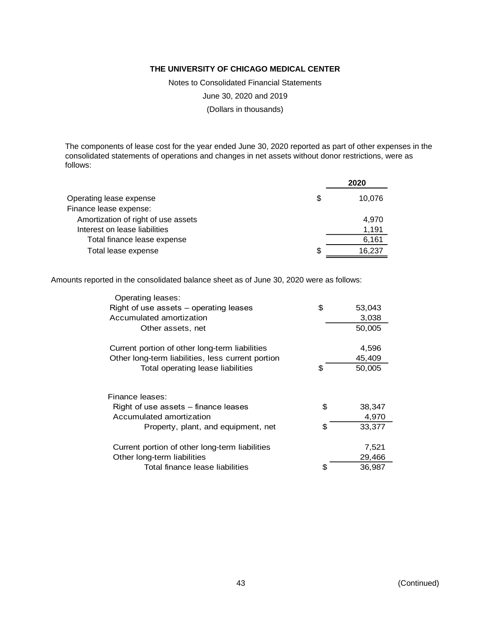Notes to Consolidated Financial Statements

June 30, 2020 and 2019

(Dollars in thousands)

The components of lease cost for the year ended June 30, 2020 reported as part of other expenses in the consolidated statements of operations and changes in net assets without donor restrictions, were as follows:

|                                     |    | 2020   |
|-------------------------------------|----|--------|
| Operating lease expense             | S  | 10.076 |
| Finance lease expense:              |    |        |
| Amortization of right of use assets |    | 4.970  |
| Interest on lease liabilities       |    | 1,191  |
| Total finance lease expense         |    | 6,161  |
| Total lease expense                 | \$ | 16.237 |

Amounts reported in the consolidated balance sheet as of June 30, 2020 were as follows:

| Operating leases:                                 |              |
|---------------------------------------------------|--------------|
| Right of use assets – operating leases            | \$<br>53,043 |
| Accumulated amortization                          | 3,038        |
| Other assets, net                                 | 50,005       |
| Current portion of other long-term liabilities    | 4,596        |
| Other long-term liabilities, less current portion | 45,409       |
| Total operating lease liabilities                 | \$<br>50,005 |
| Finance leases:                                   |              |
| Right of use assets - finance leases              | \$<br>38,347 |
| Accumulated amortization                          | 4,970        |
| Property, plant, and equipment, net               | \$<br>33,377 |
| Current portion of other long-term liabilities    | 7,521        |
| Other long-term liabilities                       | 29,466       |
| Total finance lease liabilities                   | \$<br>36,987 |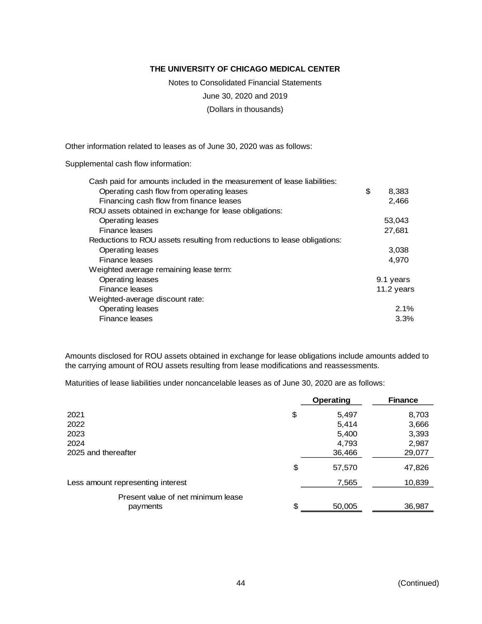Notes to Consolidated Financial Statements

June 30, 2020 and 2019

(Dollars in thousands)

Other information related to leases as of June 30, 2020 was as follows:

Supplemental cash flow information:

| Cash paid for amounts included in the measurement of lease liabilities:  |             |
|--------------------------------------------------------------------------|-------------|
| Operating cash flow from operating leases                                | \$<br>8,383 |
| Financing cash flow from finance leases                                  | 2,466       |
| ROU assets obtained in exchange for lease obligations:                   |             |
| Operating leases                                                         | 53,043      |
| Finance leases                                                           | 27,681      |
| Reductions to ROU assets resulting from reductions to lease obligations: |             |
| Operating leases                                                         | 3,038       |
| Finance leases                                                           | 4,970       |
| Weighted average remaining lease term:                                   |             |
| Operating leases                                                         | 9.1 years   |
| Finance leases                                                           | 11.2 years  |
| Weighted-average discount rate:                                          |             |
| Operating leases                                                         | 2.1%        |
| Finance leases                                                           | 3.3%        |
|                                                                          |             |

Amounts disclosed for ROU assets obtained in exchange for lease obligations include amounts added to the carrying amount of ROU assets resulting from lease modifications and reassessments.

Maturities of lease liabilities under noncancelable leases as of June 30, 2020 are as follows:

|                                                | <b>Operating</b> | <b>Finance</b> |
|------------------------------------------------|------------------|----------------|
| 2021                                           | \$<br>5,497      | 8,703          |
| 2022                                           | 5,414            | 3,666          |
| 2023                                           | 5,400            | 3,393          |
| 2024                                           | 4,793            | 2,987          |
| 2025 and thereafter                            | 36,466           | 29,077         |
|                                                | \$<br>57,570     | 47,826         |
| Less amount representing interest              | 7,565            | 10,839         |
| Present value of net minimum lease<br>payments | \$<br>50,005     | 36,987         |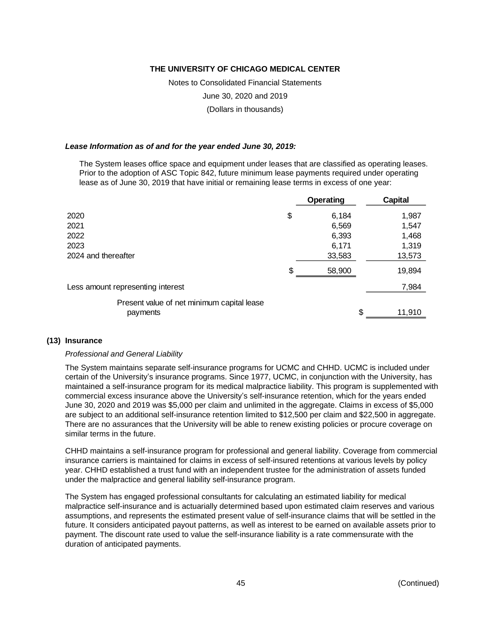Notes to Consolidated Financial Statements

June 30, 2020 and 2019

(Dollars in thousands)

#### *Lease Information as of and for the year ended June 30, 2019:*

The System leases office space and equipment under leases that are classified as operating leases. Prior to the adoption of ASC Topic 842, future minimum lease payments required under operating lease as of June 30, 2019 that have initial or remaining lease terms in excess of one year:

|                                            | Operating    | Capital |
|--------------------------------------------|--------------|---------|
| 2020                                       | \$<br>6,184  | 1,987   |
| 2021                                       | 6,569        | 1,547   |
| 2022                                       | 6,393        | 1,468   |
| 2023                                       | 6,171        | 1,319   |
| 2024 and thereafter                        | 33,583       | 13,573  |
|                                            | \$<br>58,900 | 19,894  |
| Less amount representing interest          |              | 7,984   |
| Present value of net minimum capital lease |              |         |
| payments                                   |              | 11,910  |

#### **(13) Insurance**

#### *Professional and General Liability*

The System maintains separate self-insurance programs for UCMC and CHHD. UCMC is included under certain of the University's insurance programs. Since 1977, UCMC, in conjunction with the University, has maintained a self-insurance program for its medical malpractice liability. This program is supplemented with commercial excess insurance above the University's self-insurance retention, which for the years ended June 30, 2020 and 2019 was \$5,000 per claim and unlimited in the aggregate. Claims in excess of \$5,000 are subject to an additional self-insurance retention limited to \$12,500 per claim and \$22,500 in aggregate. There are no assurances that the University will be able to renew existing policies or procure coverage on similar terms in the future.

CHHD maintains a self-insurance program for professional and general liability. Coverage from commercial insurance carriers is maintained for claims in excess of self-insured retentions at various levels by policy year. CHHD established a trust fund with an independent trustee for the administration of assets funded under the malpractice and general liability self-insurance program.

The System has engaged professional consultants for calculating an estimated liability for medical malpractice self-insurance and is actuarially determined based upon estimated claim reserves and various assumptions, and represents the estimated present value of self-insurance claims that will be settled in the future. It considers anticipated payout patterns, as well as interest to be earned on available assets prior to payment. The discount rate used to value the self-insurance liability is a rate commensurate with the duration of anticipated payments.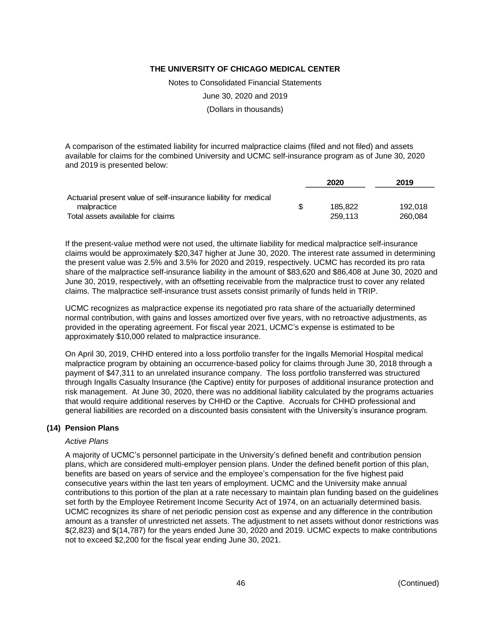Notes to Consolidated Financial Statements

June 30, 2020 and 2019

(Dollars in thousands)

A comparison of the estimated liability for incurred malpractice claims (filed and not filed) and assets available for claims for the combined University and UCMC self-insurance program as of June 30, 2020 and 2019 is presented below:

|                                                                 |    | 2020    | 2019    |
|-----------------------------------------------------------------|----|---------|---------|
| Actuarial present value of self-insurance liability for medical |    |         |         |
| malpractice                                                     | S. | 185.822 | 192.018 |
| Total assets available for claims                               |    | 259.113 | 260.084 |

If the present-value method were not used, the ultimate liability for medical malpractice self-insurance claims would be approximately \$20,347 higher at June 30, 2020. The interest rate assumed in determining the present value was 2.5% and 3.5% for 2020 and 2019, respectively. UCMC has recorded its pro rata share of the malpractice self-insurance liability in the amount of \$83,620 and \$86,408 at June 30, 2020 and June 30, 2019, respectively, with an offsetting receivable from the malpractice trust to cover any related claims. The malpractice self-insurance trust assets consist primarily of funds held in TRIP.

UCMC recognizes as malpractice expense its negotiated pro rata share of the actuarially determined normal contribution, with gains and losses amortized over five years, with no retroactive adjustments, as provided in the operating agreement. For fiscal year 2021, UCMC's expense is estimated to be approximately \$10,000 related to malpractice insurance.

On April 30, 2019, CHHD entered into a loss portfolio transfer for the Ingalls Memorial Hospital medical malpractice program by obtaining an occurrence-based policy for claims through June 30, 2018 through a payment of \$47,311 to an unrelated insurance company. The loss portfolio transferred was structured through Ingalls Casualty Insurance (the Captive) entity for purposes of additional insurance protection and risk management. At June 30, 2020, there was no additional liability calculated by the programs actuaries that would require additional reserves by CHHD or the Captive. Accruals for CHHD professional and general liabilities are recorded on a discounted basis consistent with the University's insurance program.

#### **(14) Pension Plans**

#### *Active Plans*

A majority of UCMC's personnel participate in the University's defined benefit and contribution pension plans, which are considered multi-employer pension plans. Under the defined benefit portion of this plan, benefits are based on years of service and the employee's compensation for the five highest paid consecutive years within the last ten years of employment. UCMC and the University make annual contributions to this portion of the plan at a rate necessary to maintain plan funding based on the guidelines set forth by the Employee Retirement Income Security Act of 1974, on an actuarially determined basis. UCMC recognizes its share of net periodic pension cost as expense and any difference in the contribution amount as a transfer of unrestricted net assets. The adjustment to net assets without donor restrictions was \$(2,823) and \$(14,787) for the years ended June 30, 2020 and 2019. UCMC expects to make contributions not to exceed \$2,200 for the fiscal year ending June 30, 2021.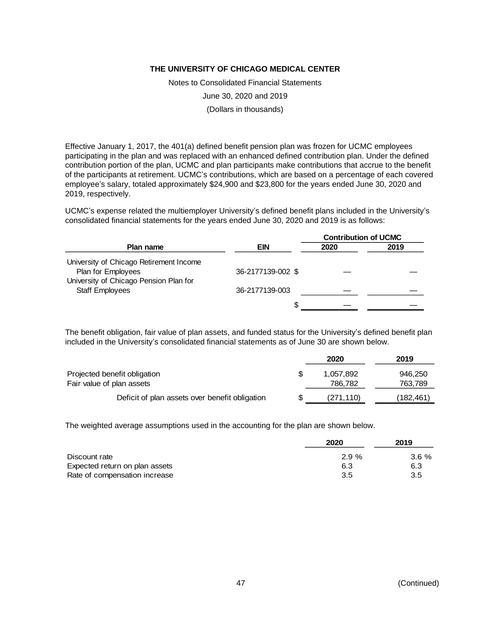Notes to Consolidated Financial Statements

June 30, 2020 and 2019

(Dollars in thousands)

Effective January 1, 2017, the 401(a) defined benefit pension plan was frozen for UCMC employees participating in the plan and was replaced with an enhanced defined contribution plan. Under the defined contribution portion of the plan, UCMC and plan participants make contributions that accrue to the benefit of the participants at retirement. UCMC's contributions, which are based on a percentage of each covered employee's salary, totaled approximately \$24,900 and \$23,800 for the years ended June 30, 2020 and 2019, respectively.

UCMC's expense related the multiemployer University's defined benefit plans included in the University's consolidated financial statements for the years ended June 30, 2020 and 2019 is as follows:

|                                                               |                   | <b>Contribution of UCMC</b> |      |
|---------------------------------------------------------------|-------------------|-----------------------------|------|
| Plan name                                                     | <b>EIN</b>        | 2020                        | 2019 |
| University of Chicago Retirement Income<br>Plan for Employees | 36-2177139-002 \$ |                             |      |
| University of Chicago Pension Plan for                        |                   |                             |      |
| <b>Staff Employees</b>                                        | 36-2177139-003    |                             |      |
|                                                               | S                 |                             |      |

The benefit obligation, fair value of plan assets, and funded status for the University's defined benefit plan included in the University's consolidated financial statements as of June 30 are shown below.

|                                                | 2020       | 2019      |
|------------------------------------------------|------------|-----------|
| Projected benefit obligation                   | 1.057.892  | 946,250   |
| Fair value of plan assets                      | 786,782    | 763,789   |
| Deficit of plan assets over benefit obligation | (271, 110) | (182,461) |

The weighted average assumptions used in the accounting for the plan are shown below.

|                                | 2020 | 2019     |
|--------------------------------|------|----------|
| Discount rate                  | 2.9% | $3.6 \%$ |
| Expected return on plan assets | 6.3  | 6.3      |
| Rate of compensation increase  | 3.5  | 3.5      |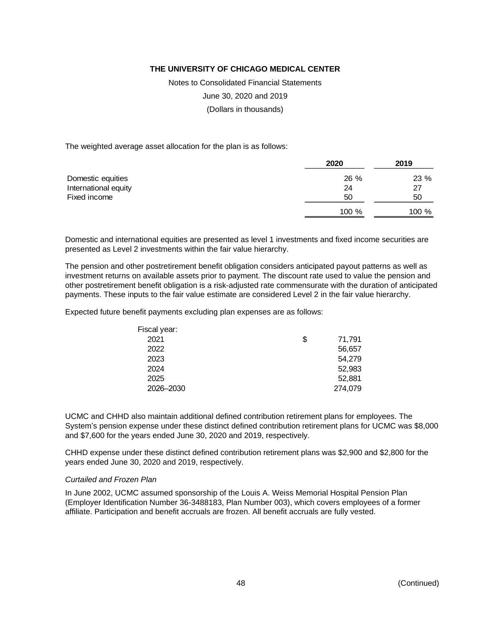Notes to Consolidated Financial Statements

June 30, 2020 and 2019

(Dollars in thousands)

The weighted average asset allocation for the plan is as follows:

|                      | 2020  | 2019  |
|----------------------|-------|-------|
| Domestic equities    | 26 %  | 23 %  |
| International equity | 24    | 27    |
| Fixed income         | 50    | 50    |
|                      | 100 % | 100 % |

Domestic and international equities are presented as level 1 investments and fixed income securities are presented as Level 2 investments within the fair value hierarchy.

The pension and other postretirement benefit obligation considers anticipated payout patterns as well as investment returns on available assets prior to payment. The discount rate used to value the pension and other postretirement benefit obligation is a risk-adjusted rate commensurate with the duration of anticipated payments. These inputs to the fair value estimate are considered Level 2 in the fair value hierarchy.

Expected future benefit payments excluding plan expenses are as follows:

| Fiscal year: |              |
|--------------|--------------|
| 2021         | \$<br>71,791 |
| 2022         | 56,657       |
| 2023         | 54.279       |
| 2024         | 52,983       |
| 2025         | 52,881       |
| 2026-2030    | 274,079      |

UCMC and CHHD also maintain additional defined contribution retirement plans for employees. The System's pension expense under these distinct defined contribution retirement plans for UCMC was \$8,000 and \$7,600 for the years ended June 30, 2020 and 2019, respectively.

CHHD expense under these distinct defined contribution retirement plans was \$2,900 and \$2,800 for the years ended June 30, 2020 and 2019, respectively.

#### *Curtailed and Frozen Plan*

In June 2002, UCMC assumed sponsorship of the Louis A. Weiss Memorial Hospital Pension Plan (Employer Identification Number 36-3488183, Plan Number 003), which covers employees of a former affiliate. Participation and benefit accruals are frozen. All benefit accruals are fully vested.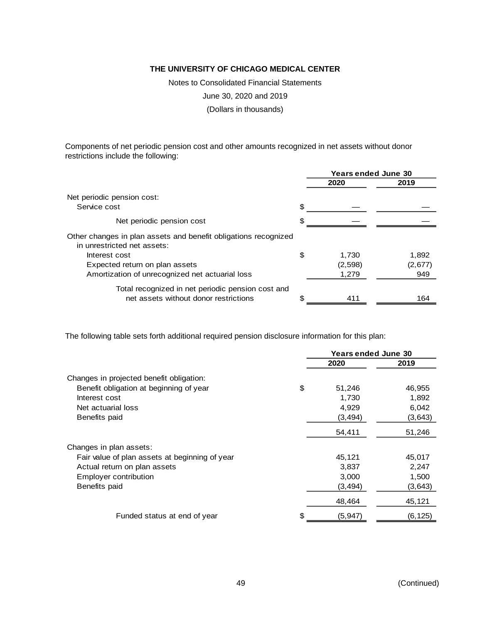Notes to Consolidated Financial Statements

June 30, 2020 and 2019

(Dollars in thousands)

Components of net periodic pension cost and other amounts recognized in net assets without donor restrictions include the following:

|                                                                                                | <b>Years ended June 30</b> |         |         |
|------------------------------------------------------------------------------------------------|----------------------------|---------|---------|
|                                                                                                |                            | 2020    | 2019    |
| Net periodic pension cost:                                                                     |                            |         |         |
| Service cost                                                                                   | £.                         |         |         |
| Net periodic pension cost                                                                      |                            |         |         |
| Other changes in plan assets and benefit obligations recognized<br>in unrestricted net assets: |                            |         |         |
| Interest cost                                                                                  | S                          | 1.730   | 1,892   |
| Expected return on plan assets                                                                 |                            | (2,598) | (2,677) |
| Amortization of unrecognized net actuarial loss                                                |                            | 1,279   | 949     |
| Total recognized in net periodic pension cost and                                              |                            |         |         |
| net assets without donor restrictions                                                          |                            | 411     | 164     |

The following table sets forth additional required pension disclosure information for this plan:

|                                                | <b>Years ended June 30</b> |          |          |
|------------------------------------------------|----------------------------|----------|----------|
|                                                |                            | 2020     | 2019     |
| Changes in projected benefit obligation:       |                            |          |          |
| Benefit obligation at beginning of year        | \$                         | 51,246   | 46,955   |
| Interest cost                                  |                            | 1,730    | 1,892    |
| Net actuarial loss                             |                            | 4,929    | 6,042    |
| Benefits paid                                  |                            | (3, 494) | (3,643)  |
|                                                |                            | 54,411   | 51,246   |
| Changes in plan assets:                        |                            |          |          |
| Fair value of plan assets at beginning of year |                            | 45,121   | 45,017   |
| Actual return on plan assets                   |                            | 3,837    | 2,247    |
| Employer contribution                          |                            | 3,000    | 1,500    |
| Benefits paid                                  |                            | (3,494)  | (3,643)  |
|                                                |                            | 48,464   | 45,121   |
| Funded status at end of year                   | \$                         | (5, 947) | (6, 125) |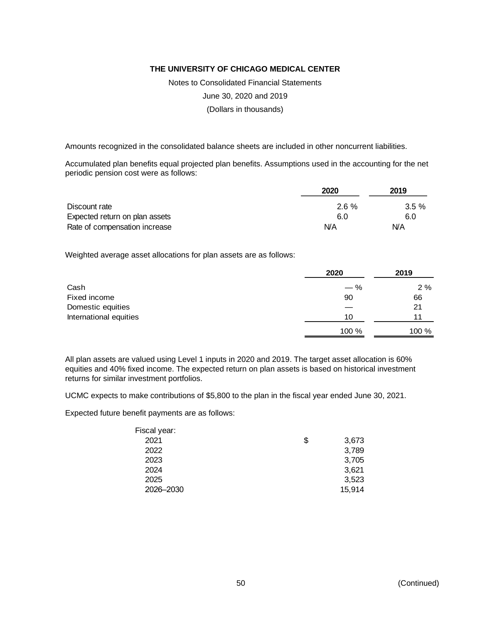Notes to Consolidated Financial Statements

June 30, 2020 and 2019

(Dollars in thousands)

Amounts recognized in the consolidated balance sheets are included in other noncurrent liabilities.

Accumulated plan benefits equal projected plan benefits. Assumptions used in the accounting for the net periodic pension cost were as follows:

|                                | 2020     | 2019     |
|--------------------------------|----------|----------|
| Discount rate                  | $2.6 \%$ | $3.5 \%$ |
| Expected return on plan assets | 6.0      | 6.0      |
| Rate of compensation increase  | N/A      | N/A      |

Weighted average asset allocations for plan assets are as follows:

|                        | 2020  | 2019  |  |
|------------------------|-------|-------|--|
| Cash                   | $-$ % | 2%    |  |
| Fixed income           | 90    | 66    |  |
| Domestic equities      |       | 21    |  |
| International equities | 10    | 11    |  |
|                        | 100 % | 100 % |  |

All plan assets are valued using Level 1 inputs in 2020 and 2019. The target asset allocation is 60% equities and 40% fixed income. The expected return on plan assets is based on historical investment returns for similar investment portfolios.

UCMC expects to make contributions of \$5,800 to the plan in the fiscal year ended June 30, 2021.

Expected future benefit payments are as follows:

| Fiscal year: |             |
|--------------|-------------|
| 2021         | \$<br>3,673 |
| 2022         | 3,789       |
| 2023         | 3,705       |
| 2024         | 3,621       |
| 2025         | 3,523       |
| 2026-2030    | 15,914      |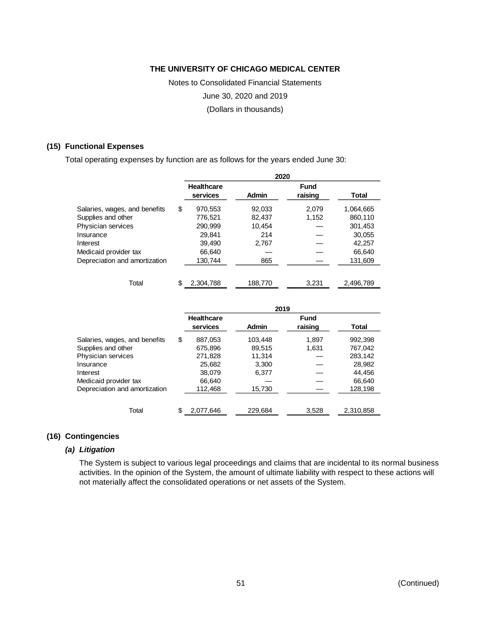Notes to Consolidated Financial Statements

June 30, 2020 and 2019

(Dollars in thousands)

#### **(15) Functional Expenses**

Total operating expenses by function are as follows for the years ended June 30:

|                               |    | 2020                          |              |                 |           |  |  |  |  |  |
|-------------------------------|----|-------------------------------|--------------|-----------------|-----------|--|--|--|--|--|
|                               |    | <b>Healthcare</b><br>services | <b>Admin</b> | Fund<br>raising | Total     |  |  |  |  |  |
| Salaries, wages, and benefits | \$ | 970,553                       | 92,033       | 2,079           | 1,064,665 |  |  |  |  |  |
| Supplies and other            |    | 776,521                       | 82,437       | 1,152           | 860,110   |  |  |  |  |  |
| Physician services            |    | 290,999                       | 10.454       |                 | 301,453   |  |  |  |  |  |
| Insurance                     |    | 29.841                        | 214          |                 | 30,055    |  |  |  |  |  |
| Interest                      |    | 39.490                        | 2,767        |                 | 42.257    |  |  |  |  |  |
| Medicaid provider tax         |    | 66,640                        |              |                 | 66,640    |  |  |  |  |  |
| Depreciation and amortization |    | 130,744                       | 865          |                 | 131,609   |  |  |  |  |  |
|                               |    |                               |              |                 |           |  |  |  |  |  |

Total \$ 2,304,788 188,770 3,231 2,496,789

|                               |    | Healthcare<br>services | <b>Admin</b> | <b>Fund</b><br>raising | <b>Total</b> |  |
|-------------------------------|----|------------------------|--------------|------------------------|--------------|--|
| Salaries, wages, and benefits | \$ | 887.053                | 103.448      | 1.897                  | 992.398      |  |
| Supplies and other            |    | 675.896                | 89.515       | 1.631                  | 767,042      |  |
| Physician services            |    | 271,828                | 11.314       |                        | 283,142      |  |
| Insurance                     |    | 25.682                 | 3.300        |                        | 28.982       |  |
| Interest                      |    | 38.079                 | 6,377        |                        | 44.456       |  |
| Medicaid provider tax         |    | 66.640                 |              |                        | 66,640       |  |
| Depreciation and amortization |    | 112,468                | 15,730       |                        | 128,198      |  |
|                               |    |                        |              |                        |              |  |
| Total                         | \$ | 2.077.646              | 229.684      | 3,528                  | 2.310.858    |  |

#### **(16) Contingencies**

#### *(a) Litigation*

The System is subject to various legal proceedings and claims that are incidental to its normal business activities. In the opinion of the System, the amount of ultimate liability with respect to these actions will not materially affect the consolidated operations or net assets of the System.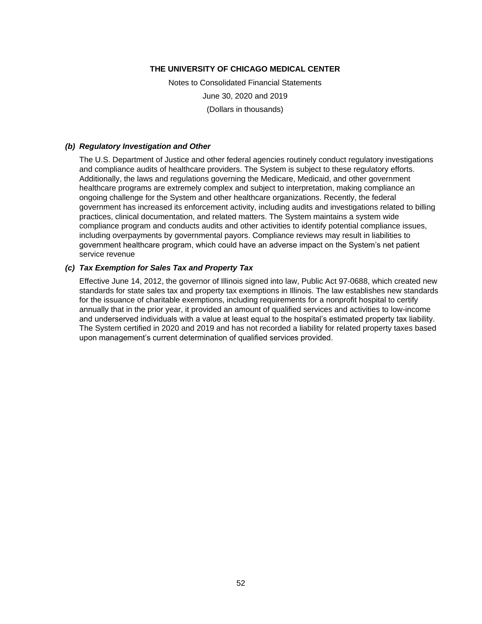Notes to Consolidated Financial Statements June 30, 2020 and 2019 (Dollars in thousands)

#### *(b) Regulatory Investigation and Other*

The U.S. Department of Justice and other federal agencies routinely conduct regulatory investigations and compliance audits of healthcare providers. The System is subject to these regulatory efforts. Additionally, the laws and regulations governing the Medicare, Medicaid, and other government healthcare programs are extremely complex and subject to interpretation, making compliance an ongoing challenge for the System and other healthcare organizations. Recently, the federal government has increased its enforcement activity, including audits and investigations related to billing practices, clinical documentation, and related matters. The System maintains a system wide compliance program and conducts audits and other activities to identify potential compliance issues, including overpayments by governmental payors. Compliance reviews may result in liabilities to government healthcare program, which could have an adverse impact on the System's net patient service revenue

#### *(c) Tax Exemption for Sales Tax and Property Tax*

Effective June 14, 2012, the governor of Illinois signed into law, Public Act 97-0688, which created new standards for state sales tax and property tax exemptions in Illinois. The law establishes new standards for the issuance of charitable exemptions, including requirements for a nonprofit hospital to certify annually that in the prior year, it provided an amount of qualified services and activities to low-income and underserved individuals with a value at least equal to the hospital's estimated property tax liability. The System certified in 2020 and 2019 and has not recorded a liability for related property taxes based upon management's current determination of qualified services provided.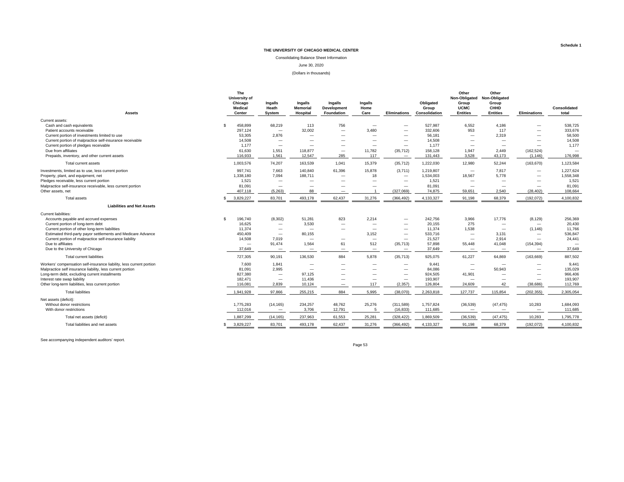Consolidating Balance Sheet Information

June 30, 2020

#### (Dollars in thousands)

| <b>Assets</b>                                                        |     | The<br>University of<br>Chicago<br><b>Medical</b><br>Center | Ingalls<br>Heath<br>System  | Ingalls<br><b>Memorial</b><br>Hospital | Ingalls<br><b>Development</b><br>Foundation | Ingalls<br>Home<br>Care         | <b>Eliminations</b>                   | Obligated<br>Group<br>Consolidation | Other<br>Non-Obligated Non-Obligated<br>Group<br><b>UCMC</b><br><b>Entities</b> | Other<br>Group<br><b>CHHD</b><br><b>Entities</b> | <b>Eliminations</b>                    | Consolidated<br>total    |
|----------------------------------------------------------------------|-----|-------------------------------------------------------------|-----------------------------|----------------------------------------|---------------------------------------------|---------------------------------|---------------------------------------|-------------------------------------|---------------------------------------------------------------------------------|--------------------------------------------------|----------------------------------------|--------------------------|
|                                                                      |     |                                                             |                             |                                        |                                             |                                 |                                       |                                     |                                                                                 |                                                  |                                        |                          |
| Current assets:                                                      | \$. | 458,899                                                     |                             |                                        |                                             |                                 |                                       | 527,987                             | 6,552                                                                           | 4,186                                            |                                        | 538,725                  |
| Cash and cash equivalents<br>Patient accounts receivable             |     | 297,124                                                     | 68,219<br>$\qquad \qquad -$ | 113<br>32.002                          | 756<br>$\equiv$                             | 3,480                           |                                       | 332,606                             | 953                                                                             | 117                                              |                                        | 333,676                  |
| Current portion of investments limited to use                        |     | 53,305                                                      | 2,876                       |                                        |                                             |                                 |                                       | 56,181                              |                                                                                 | 2,319                                            |                                        | 58,500                   |
| Current portion of malpractice self-insurance receivable             |     | 14,508                                                      | $\overline{\phantom{0}}$    |                                        |                                             |                                 |                                       | 14,508                              |                                                                                 |                                                  |                                        | 14,508                   |
| Current portion of pledges receivable                                |     | 1,177                                                       | $\overline{\phantom{0}}$    |                                        |                                             | $\overline{\phantom{0}}$        | $\overline{\phantom{m}}$              | 1,177                               |                                                                                 | $\overline{\phantom{0}}$                         |                                        | 1,177                    |
| Due from affiliates                                                  |     | 61,630                                                      | 1,551                       | 118,877                                | $\overline{\phantom{0}}$                    | 11,782                          | (35, 712)                             | 158,128                             | 1.947                                                                           | 2.449                                            | (162, 524)                             | $\overline{\phantom{0}}$ |
| Prepaids, inventory, and other current assets                        |     | 116,933                                                     | 1,561                       | 12,547                                 | 285                                         | 117                             | $\overline{\phantom{m}}$              | 131,443                             | 3,528                                                                           | 43,173                                           | (1, 146)                               | 176,998                  |
| Total current assets                                                 |     | 1,003,576                                                   | 74,207                      | 163,539                                | 1.041                                       | 15,379                          | (35, 712)                             | 1,222,030                           | 12,980                                                                          | 52,244                                           | (163, 670)                             | 1,123,584                |
| Investments, limited as to use, less current portion                 |     | 997,741                                                     | 7,663                       | 140,840                                | 61,396                                      | 15,878                          | (3,711)                               | 1,219,807                           | $\overline{\phantom{m}}$                                                        | 7,817                                            | $\overline{\phantom{m}}$               | 1,227,624                |
| Property, plant, and equipment, net                                  |     | 1,338,180                                                   | 7,094                       | 188,711                                | $\overline{\phantom{0}}$                    | 18                              | $\overline{\phantom{0}}$              | 1,534,003                           | 18,567                                                                          | 5.778                                            | $\overline{\phantom{0}}$               | 1,558,348                |
| Pledges receivable, less current portion                             |     | 1,521                                                       | $\qquad \qquad -$           | $\qquad \qquad$                        |                                             | $\overline{\phantom{0}}$        | $\overline{\phantom{m}}$              | 1,521                               |                                                                                 |                                                  | $\overline{\phantom{m}}$               | 1,521                    |
| Malpractice self-insurance receivable, less current portion          |     | 81,091                                                      |                             | —                                      |                                             | $\overline{\phantom{0}}$        | $\overline{\phantom{m}}$              | 81,091                              |                                                                                 |                                                  | $\overline{\phantom{0}}$               | 81,091                   |
| Other assets, net                                                    |     | 407.118                                                     | (5.263)                     | 88                                     |                                             |                                 | (327.069)                             | 74,875                              | 59.651                                                                          | 2.540                                            | (28, 402)                              | 108.664                  |
| <b>Total assets</b>                                                  |     | 3,829,227                                                   | 83,701                      | 493,178                                | 62,437                                      | 31,276                          | (366, 492)                            | 4,133,327                           | 91,198                                                                          | 68,379                                           | (192, 072)                             | 4,100,832                |
| <b>Liabilities and Net Assets</b>                                    |     |                                                             |                             |                                        |                                             |                                 |                                       |                                     |                                                                                 |                                                  |                                        |                          |
| <b>Current liabilities:</b>                                          |     |                                                             |                             |                                        |                                             |                                 |                                       |                                     |                                                                                 |                                                  |                                        |                          |
| Accounts payable and accrued expenses                                | \$. | 196,740                                                     | (8,302)                     | 51,281                                 | 823                                         | 2,214                           | $\qquad \qquad$                       | 242,756                             | 3.966                                                                           | 17,776                                           | (8, 129)                               | 256,369                  |
| Current portion of long-term debt                                    |     | 16,625                                                      | $\overline{\phantom{m}}$    | 3,530                                  | -                                           | $\overline{\phantom{0}}$        |                                       | 20,155                              | 275                                                                             |                                                  | $\overline{\phantom{m}}$               | 20,430                   |
| Current portion of other long-term liabilities                       |     | 11,374                                                      | $\overline{\phantom{m}}$    | $\overline{\phantom{a}}$               |                                             | $\overline{\phantom{0}}$        | $\overline{\phantom{m}}$              | 11,374                              | 1,538                                                                           | $\overline{\phantom{m}}$                         | (1, 146)                               | 11,766                   |
| Estimated third-party payor settlements and Medicare Advance         |     | 450.409                                                     | $\overline{\phantom{m}}$    | 80.155                                 |                                             | 3.152                           | $\overline{\phantom{m}}$              | 533,716                             |                                                                                 | 3.131                                            | $\overline{\phantom{m}}$               | 536,847                  |
| Current portion of malpractice self-insurance liability              |     | 14,508                                                      | 7.019                       | $\overline{\phantom{m}}$               |                                             | $\overline{\phantom{0}}$        | $\qquad \qquad$                       | 21,527                              |                                                                                 | 2,914                                            |                                        | 24,441                   |
| Due to affiliates<br>Due to the University of Chicago                |     | 37,649                                                      | 91,474<br>$\qquad \qquad -$ | 1,564<br>$\overline{\phantom{m}}$      | 61                                          | 512<br>$\overline{\phantom{0}}$ | (35, 713)<br>$\overline{\phantom{m}}$ | 57,898<br>37,649                    | 55,448                                                                          | 41,048<br>$\overline{\phantom{a}}$               | (154, 394)<br>$\overline{\phantom{m}}$ | 37,649                   |
|                                                                      |     |                                                             |                             |                                        |                                             |                                 |                                       |                                     |                                                                                 |                                                  |                                        |                          |
| Total current liabilities                                            |     | 727,305                                                     | 90,191                      | 136,530                                | 884                                         | 5,878                           | (35, 713)                             | 925,075                             | 61,227                                                                          | 64,869                                           | (163, 669)                             | 887,502                  |
| Workers' compensation self-insurance liability, less current portion |     | 7,600                                                       | 1,841                       | $\overline{\phantom{m}}$               |                                             | $\overline{\phantom{0}}$        | $\overline{\phantom{m}}$              | 9,441                               |                                                                                 |                                                  | $\overline{\phantom{m}}$               | 9,441                    |
| Malpractice self insurance liability, less current portion           |     | 81,091                                                      | 2,995                       |                                        | -                                           | $\overline{\phantom{0}}$        | $\overline{\phantom{m}}$              | 84,086                              |                                                                                 | 50,943                                           | $\overline{\phantom{0}}$               | 135,029                  |
| Long-term debt, excluding current installments                       |     | 827,380                                                     | $\overline{\phantom{0}}$    | 97.125                                 | -                                           | $\overline{\phantom{0}}$        | $\overline{\phantom{m}}$              | 924,505                             | 41,901                                                                          |                                                  | $\overline{\phantom{0}}$               | 966,406                  |
| Interest rate swap liability                                         |     | 182,471                                                     | $\overline{\phantom{m}}$    | 11,436                                 | $\overline{\phantom{0}}$                    |                                 | $\qquad \qquad -$                     | 193,907                             |                                                                                 |                                                  |                                        | 193,907                  |
| Other long-term liabilities, less current portion                    |     | 116,081                                                     | 2,839                       | 10,124                                 |                                             | 117                             | (2, 357)                              | 126,804                             | 24,609                                                                          | 42                                               | (38, 686)                              | 112,769                  |
| <b>Total liabilities</b>                                             |     | 1,941,928                                                   | 97,866                      | 255,215                                | 884                                         | 5,995                           | (38,070)                              | 2,263,818                           | 127,737                                                                         | 115,854                                          | (202, 355)                             | 2,305,054                |
| Net assets (deficit):                                                |     |                                                             |                             |                                        |                                             |                                 |                                       |                                     |                                                                                 |                                                  |                                        |                          |
| Without donor restrictions                                           |     | 1,775,283                                                   | (14, 165)                   | 234,257                                | 48,762                                      | 25,276                          | (311,589)                             | 1,757,824                           | (36, 539)                                                                       | (47, 475)                                        | 10,283                                 | 1,684,093                |
| With donor restrictions                                              |     | 112.016                                                     | $\overline{\phantom{m}}$    | 3,706                                  | 12,791                                      | 5                               | (16, 833)                             | 111,685                             | $\overline{\phantom{m}}$                                                        |                                                  | $\overline{\phantom{m}}$               | 111,685                  |
| Total net assets (deficit)                                           |     | 1,887,299                                                   | (14, 165)                   | 237,963                                | 61,553                                      | 25,281                          | (328, 422)                            | 1,869,509                           | (36, 539)                                                                       | (47, 475)                                        | 10,283                                 | 1,795,778                |
| Total liabilities and net assets                                     |     | 3.829.227                                                   | 83.701                      | 493.178                                | 62.437                                      | 31,276                          | (366, 492)                            | 4,133,327                           | 91.198                                                                          | 68,379                                           | (192, 072)                             | 4,100,832                |
|                                                                      |     |                                                             |                             |                                        |                                             |                                 |                                       |                                     |                                                                                 |                                                  |                                        |                          |

See accompanying independent auditors' report.

Page 53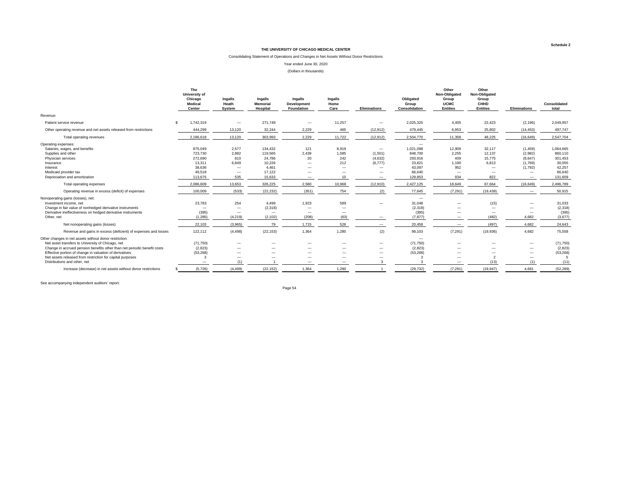#### Consolidating Statement of Operations and Changes in Net Assets Without Donor Restrictions

Year ended June 30, 2020

(Dollars in thousands)

|                                                                                                                                                                                                                                                                                                                                                                                                                                                                | The<br>University of<br>Chicago<br>Medical<br>Center |                                                                                                                                               | Ingalls<br>Heath<br>System                                                                                                                               | Ingalls<br><b>Memorial</b><br>Hospital                                                                                                       | Ingalls<br>Development<br><b>Foundation</b>                                          | Ingalls<br>Home<br>Care                                                                                            | <b>Eliminations</b>                                                                               | Obligated<br>Group<br>Consolidation                                                                                                                                                    | Other<br>Non-Obligated<br>Group<br><b>UCMC</b><br><b>Entities</b>                                                           | Other<br>Non-Obligated<br>Group<br>CHHD<br><b>Entities</b>                                                           | Eliminations                                                                                                             | Consolidated<br>total                                                                                                          |
|----------------------------------------------------------------------------------------------------------------------------------------------------------------------------------------------------------------------------------------------------------------------------------------------------------------------------------------------------------------------------------------------------------------------------------------------------------------|------------------------------------------------------|-----------------------------------------------------------------------------------------------------------------------------------------------|----------------------------------------------------------------------------------------------------------------------------------------------------------|----------------------------------------------------------------------------------------------------------------------------------------------|--------------------------------------------------------------------------------------|--------------------------------------------------------------------------------------------------------------------|---------------------------------------------------------------------------------------------------|----------------------------------------------------------------------------------------------------------------------------------------------------------------------------------------|-----------------------------------------------------------------------------------------------------------------------------|----------------------------------------------------------------------------------------------------------------------|--------------------------------------------------------------------------------------------------------------------------|--------------------------------------------------------------------------------------------------------------------------------|
| Revenue:                                                                                                                                                                                                                                                                                                                                                                                                                                                       |                                                      |                                                                                                                                               |                                                                                                                                                          |                                                                                                                                              |                                                                                      |                                                                                                                    |                                                                                                   |                                                                                                                                                                                        |                                                                                                                             |                                                                                                                      |                                                                                                                          |                                                                                                                                |
| Patient service revenue                                                                                                                                                                                                                                                                                                                                                                                                                                        | \$.                                                  | 1,742,319                                                                                                                                     |                                                                                                                                                          | 271.749                                                                                                                                      |                                                                                      | 11,257                                                                                                             |                                                                                                   | 2.025.325                                                                                                                                                                              | 4,405                                                                                                                       | 22.423                                                                                                               | (2, 196)                                                                                                                 | 2,049,957                                                                                                                      |
| Other operating revenue and net assets released from restrictions                                                                                                                                                                                                                                                                                                                                                                                              |                                                      | 444,299                                                                                                                                       | 13,120                                                                                                                                                   | 32,244                                                                                                                                       | 2,229                                                                                | 465                                                                                                                | (12, 912)                                                                                         | 479,445                                                                                                                                                                                | 6,953                                                                                                                       | 25,802                                                                                                               | (14, 453)                                                                                                                | 497,747                                                                                                                        |
| Total operating revenues                                                                                                                                                                                                                                                                                                                                                                                                                                       |                                                      | 2,186,618                                                                                                                                     | 13,120                                                                                                                                                   | 303,993                                                                                                                                      | 2,229                                                                                | 11,722                                                                                                             | (12, 912)                                                                                         | 2,504,770                                                                                                                                                                              | 11,358                                                                                                                      | 48,225                                                                                                               | (16, 649)                                                                                                                | 2,547,704                                                                                                                      |
| Operating expenses:<br>Salaries, wages, and benefits<br>Supplies and other<br>Physician services<br>Insurance<br>Interest<br>Medicaid provider tax<br>Depreciation and amortization<br>Total operating expenses<br>Operating revenue in excess (deficit) of expenses<br>Nonoperating gains (losses), net:<br>Investment income, net<br>Change in fair value of nonhedged derivative instruments<br>Derivative ineffectiveness on hedged derivative instruments |                                                      | 875.049<br>723,730<br>272,690<br>13,311<br>38,636<br>49,518<br>113,675<br>2.086.609<br>100.009<br>23,783<br>$\overline{\phantom{m}}$<br>(395) | 2.577<br>2,882<br>810<br>6.849<br>$\overline{\phantom{0}}$<br>$\overline{\phantom{0}}$<br>535<br>13,653<br>(533)<br>254<br>$\overline{\phantom{0}}$<br>- | 134.432<br>119,565<br>24,786<br>10,226<br>4,461<br>17,122<br>15,633<br>326,225<br>(22, 232)<br>4,499<br>(2, 318)<br>$\overline{\phantom{m}}$ | 121<br>2,439<br>20<br>$\overline{\phantom{0}}$<br>--<br>2,580<br>(351)<br>1,923<br>- | 8,919<br>1,585<br>242<br>212<br>$\overline{\phantom{a}}$<br>10<br>10,968<br>754<br>589<br>$\overline{\phantom{a}}$ | $\overline{\phantom{m}}$<br>(1,501)<br>(4,632)<br>(6,777)<br>–<br>-<br>–<br>(12, 910)<br>(2)<br>- | $\overline{\phantom{0}}$<br>1.021.098<br>848,700<br>293.916<br>23.821<br>43,097<br>66,640<br>129,853<br>2,427,125<br>77,645<br>$\overline{\phantom{0}}$<br>31,048<br>(2, 318)<br>(395) | 12,909<br>2,255<br>409<br>1,190<br>952<br>$\overline{\phantom{a}}$<br>934<br>18,649<br>(7, 291)<br>$\overline{\phantom{a}}$ | 32.117<br>12,137<br>15.775<br>6.813<br>-<br>-<br>822<br>67.664<br>(19, 439)<br>(15)<br>$\overline{\phantom{m}}$<br>– | (1,459)<br>(2,982)<br>(8,647)<br>(1,769)<br>(1,792)<br>$\overline{\phantom{0}}$<br>(16, 649)<br>$\overline{\phantom{0}}$ | 1,064,665<br>860,110<br>301.453<br>30,055<br>42,257<br>66,640<br>131,609<br>2,496,789<br>50,915<br>31,033<br>(2, 318)<br>(395) |
| Other, net                                                                                                                                                                                                                                                                                                                                                                                                                                                     |                                                      | (1, 285)                                                                                                                                      | (4, 219)                                                                                                                                                 | (2, 102)                                                                                                                                     | (208)                                                                                | (63)                                                                                                               |                                                                                                   | (7, 877)                                                                                                                                                                               |                                                                                                                             | (482)                                                                                                                | 4,682                                                                                                                    | (3,677)                                                                                                                        |
| Net nonoperating gains (losses)                                                                                                                                                                                                                                                                                                                                                                                                                                |                                                      | 22.103                                                                                                                                        | (3.965)                                                                                                                                                  | 79                                                                                                                                           | 1.715                                                                                | 526                                                                                                                |                                                                                                   | 20.458                                                                                                                                                                                 |                                                                                                                             | (497)                                                                                                                | 4.682                                                                                                                    | 24,643                                                                                                                         |
| Revenue and gains in excess (deficient) of expenses and losses                                                                                                                                                                                                                                                                                                                                                                                                 |                                                      | 122,112                                                                                                                                       | (4, 498)                                                                                                                                                 | (22, 153)                                                                                                                                    | 1,364                                                                                | 1,280                                                                                                              | (2)                                                                                               | 98,103                                                                                                                                                                                 | (7, 291)                                                                                                                    | (19, 936)                                                                                                            | 4,682                                                                                                                    | 75,558                                                                                                                         |
| Other changes in net assets without donor restriction:<br>Net asset transfers to University of Chicago, net<br>Change in accrued pension benefits other than net periodic benefit costs<br>Effective portion of change in valuation of derivatives<br>Net assets released from restriction for capital purposes<br>Distributions and other, net                                                                                                                |                                                      | (71, 750)<br>(2,823)<br>(53, 268)                                                                                                             | $\overline{\phantom{a}}$<br>-<br>$\overline{\phantom{0}}$<br>$\overline{\phantom{a}}$<br>(1)                                                             |                                                                                                                                              | -                                                                                    | $\overline{\phantom{a}}$<br>$\overline{\phantom{a}}$                                                               | -<br>-<br>$\overline{\phantom{0}}$<br>-                                                           | $\overline{\phantom{a}}$<br>(71, 750)<br>(2,823)<br>(53, 268)                                                                                                                          | $\overline{\phantom{a}}$                                                                                                    | –<br>$\mathcal{P}$<br>(13)                                                                                           |                                                                                                                          | (71, 750)<br>(2,823)<br>(53, 268)<br>(11)                                                                                      |
| Increase (decrease) in net assets without donor restrictions                                                                                                                                                                                                                                                                                                                                                                                                   |                                                      | (5,726)                                                                                                                                       | (4, 499)                                                                                                                                                 | (22, 152)                                                                                                                                    | 1.364                                                                                | 1.280                                                                                                              |                                                                                                   | (29, 732)                                                                                                                                                                              | (7, 291)                                                                                                                    | (19, 947)                                                                                                            | 4,681                                                                                                                    | (52, 289)                                                                                                                      |

See accompanying independent auditors' report.

Page 54